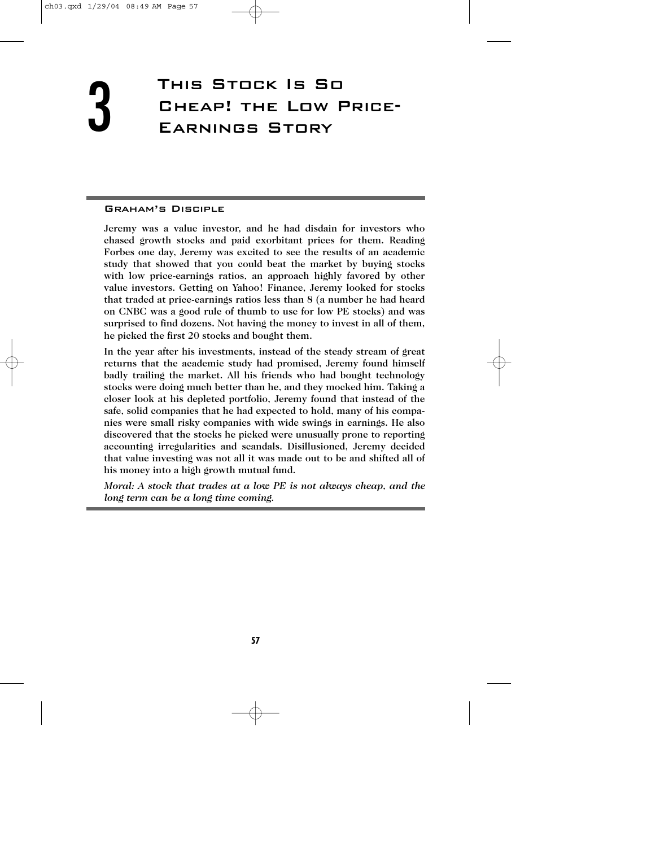# This Stock Is So Cheap! the Low Price-Earnings Story 3

### Graham's Disciple

Jeremy was a value investor, and he had disdain for investors who chased growth stocks and paid exorbitant prices for them. Reading Forbes one day, Jeremy was excited to see the results of an academic study that showed that you could beat the market by buying stocks with low price-earnings ratios, an approach highly favored by other value investors. Getting on Yahoo! Finance, Jeremy looked for stocks that traded at price-earnings ratios less than 8 (a number he had heard on CNBC was a good rule of thumb to use for low PE stocks) and was surprised to find dozens. Not having the money to invest in all of them, he picked the first 20 stocks and bought them.

In the year after his investments, instead of the steady stream of great returns that the academic study had promised, Jeremy found himself badly trailing the market. All his friends who had bought technology stocks were doing much better than he, and they mocked him. Taking a closer look at his depleted portfolio, Jeremy found that instead of the safe, solid companies that he had expected to hold, many of his companies were small risky companies with wide swings in earnings. He also discovered that the stocks he picked were unusually prone to reporting accounting irregularities and scandals. Disillusioned, Jeremy decided that value investing was not all it was made out to be and shifted all of his money into a high growth mutual fund.

*Moral: A stock that trades at a low PE is not always cheap, and the long term can be a long time coming.*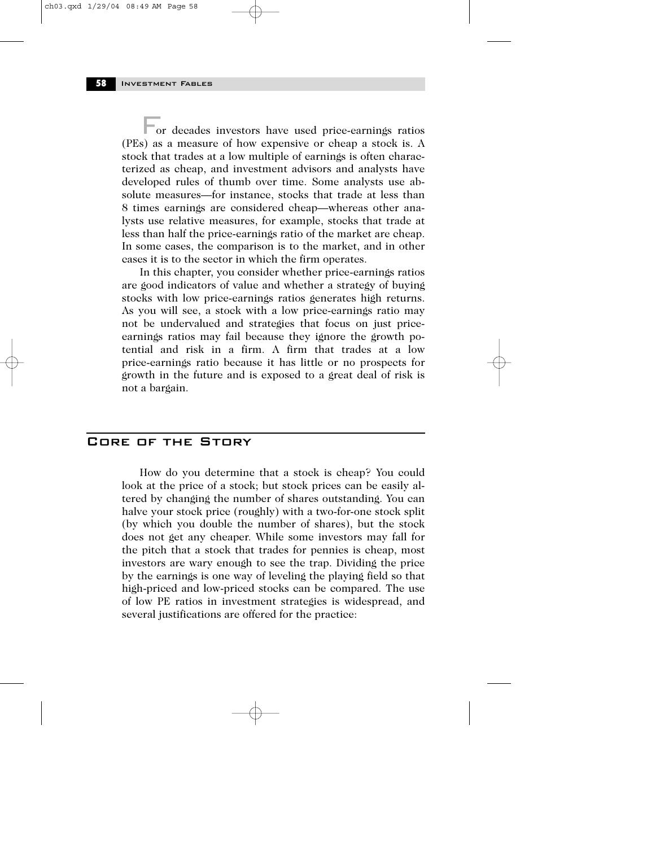For decades investors have used price-earnings ratios (PEs) as a measure of how expensive or cheap a stock is. A stock that trades at a low multiple of earnings is often characterized as cheap, and investment advisors and analysts have developed rules of thumb over time. Some analysts use absolute measures—for instance, stocks that trade at less than 8 times earnings are considered cheap—whereas other analysts use relative measures, for example, stocks that trade at less than half the price-earnings ratio of the market are cheap. In some cases, the comparison is to the market, and in other cases it is to the sector in which the firm operates.

In this chapter, you consider whether price-earnings ratios are good indicators of value and whether a strategy of buying stocks with low price-earnings ratios generates high returns. As you will see, a stock with a low price-earnings ratio may not be undervalued and strategies that focus on just priceearnings ratios may fail because they ignore the growth potential and risk in a firm. A firm that trades at a low price-earnings ratio because it has little or no prospects for growth in the future and is exposed to a great deal of risk is not a bargain.

# Core of the Story

How do you determine that a stock is cheap? You could look at the price of a stock; but stock prices can be easily altered by changing the number of shares outstanding. You can halve your stock price (roughly) with a two-for-one stock split (by which you double the number of shares), but the stock does not get any cheaper. While some investors may fall for the pitch that a stock that trades for pennies is cheap, most investors are wary enough to see the trap. Dividing the price by the earnings is one way of leveling the playing field so that high-priced and low-priced stocks can be compared. The use of low PE ratios in investment strategies is widespread, and several justifications are offered for the practice: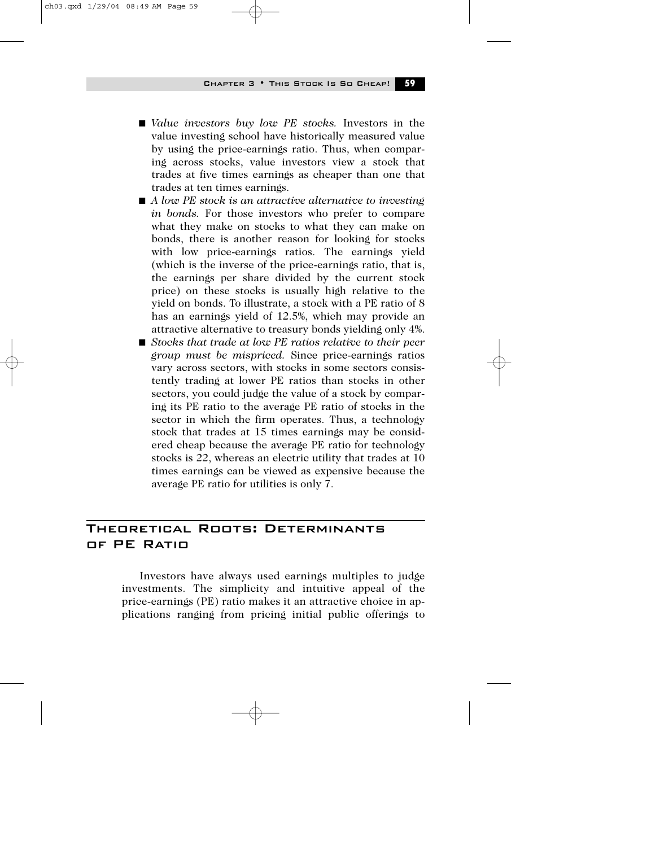■ *Value investors buy low PE stocks.* Investors in the value investing school have historically measured value by using the price-earnings ratio. Thus, when comparing across stocks, value investors view a stock that trades at five times earnings as cheaper than one that trades at ten times earnings.

ch03.qxd 1/29/04 08:49 AM Page 59

- *A low PE stock is an attractive alternative to investing in bonds.* For those investors who prefer to compare what they make on stocks to what they can make on bonds, there is another reason for looking for stocks with low price-earnings ratios. The earnings yield (which is the inverse of the price-earnings ratio, that is, the earnings per share divided by the current stock price) on these stocks is usually high relative to the yield on bonds. To illustrate, a stock with a PE ratio of 8 has an earnings yield of 12.5%, which may provide an attractive alternative to treasury bonds yielding only 4%.
- *Stocks that trade at low PE ratios relative to their peer group must be mispriced.* Since price-earnings ratios vary across sectors, with stocks in some sectors consistently trading at lower PE ratios than stocks in other sectors, you could judge the value of a stock by comparing its PE ratio to the average PE ratio of stocks in the sector in which the firm operates. Thus, a technology stock that trades at 15 times earnings may be considered cheap because the average PE ratio for technology stocks is 22, whereas an electric utility that trades at 10 times earnings can be viewed as expensive because the average PE ratio for utilities is only 7.

### Theoretical Roots: Determinants OF PE RATIO

Investors have always used earnings multiples to judge investments. The simplicity and intuitive appeal of the price-earnings (PE) ratio makes it an attractive choice in applications ranging from pricing initial public offerings to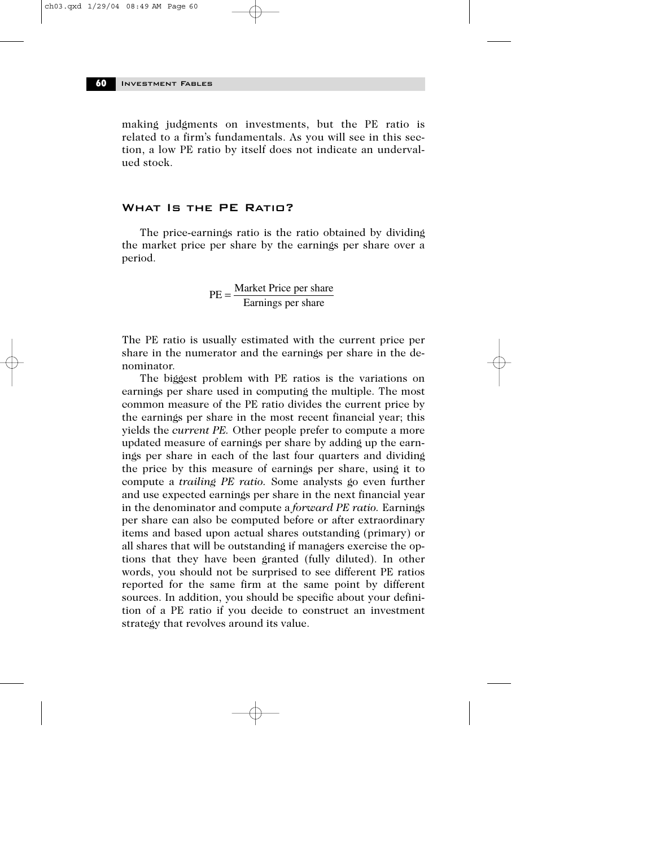making judgments on investments, but the PE ratio is related to a firm's fundamentals. As you will see in this section, a low PE ratio by itself does not indicate an undervalued stock.

### What Is the PE Ratio?

The price-earnings ratio is the ratio obtained by dividing the market price per share by the earnings per share over a period.

 $PE = \frac{Market Price per share}{Earnings per share}$ 

The PE ratio is usually estimated with the current price per share in the numerator and the earnings per share in the denominator.

The biggest problem with PE ratios is the variations on earnings per share used in computing the multiple. The most common measure of the PE ratio divides the current price by the earnings per share in the most recent financial year; this yields the *current PE.* Other people prefer to compute a more updated measure of earnings per share by adding up the earnings per share in each of the last four quarters and dividing the price by this measure of earnings per share, using it to compute a *trailing PE ratio.* Some analysts go even further and use expected earnings per share in the next financial year in the denominator and compute a *forward PE ratio.* Earnings per share can also be computed before or after extraordinary items and based upon actual shares outstanding (primary) or all shares that will be outstanding if managers exercise the options that they have been granted (fully diluted). In other words, you should not be surprised to see different PE ratios reported for the same firm at the same point by different sources. In addition, you should be specific about your definition of a PE ratio if you decide to construct an investment strategy that revolves around its value.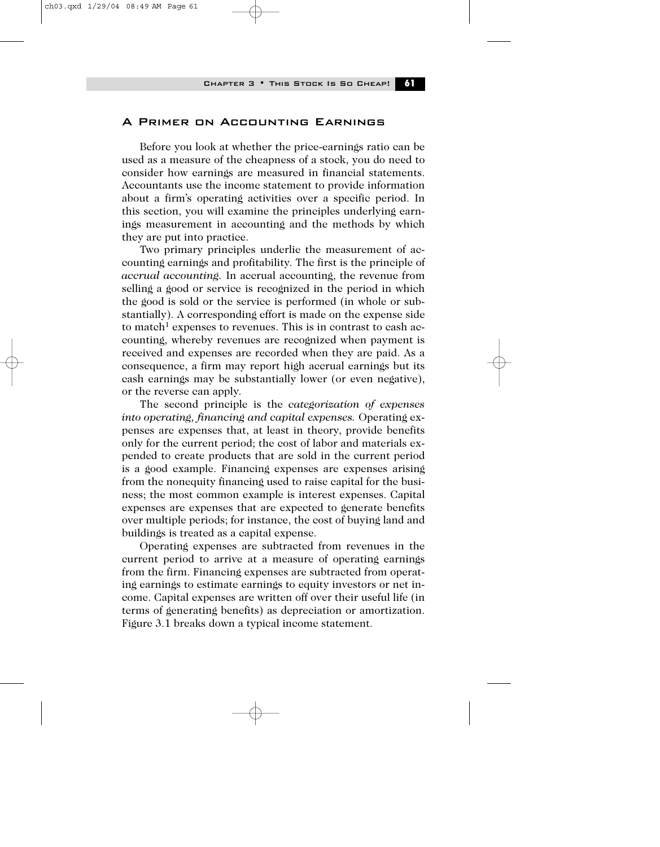**61**

#### ch03.qxd 1/29/04 08:49 AM Page 61

## A Primer on Accounting Earnings

Before you look at whether the price-earnings ratio can be used as a measure of the cheapness of a stock, you do need to consider how earnings are measured in financial statements. Accountants use the income statement to provide information about a firm's operating activities over a specific period. In this section, you will examine the principles underlying earnings measurement in accounting and the methods by which they are put into practice.

Two primary principles underlie the measurement of accounting earnings and profitability. The first is the principle of *accrual accounting.* In accrual accounting, the revenue from selling a good or service is recognized in the period in which the good is sold or the service is performed (in whole or substantially). A corresponding effort is made on the expense side to match<sup>1</sup> expenses to revenues. This is in contrast to cash accounting, whereby revenues are recognized when payment is received and expenses are recorded when they are paid. As a consequence, a firm may report high accrual earnings but its cash earnings may be substantially lower (or even negative), or the reverse can apply.

The second principle is the *categorization of expenses into operating, financing and capital expenses.* Operating expenses are expenses that, at least in theory, provide benefits only for the current period; the cost of labor and materials expended to create products that are sold in the current period is a good example. Financing expenses are expenses arising from the nonequity financing used to raise capital for the business; the most common example is interest expenses. Capital expenses are expenses that are expected to generate benefits over multiple periods; for instance, the cost of buying land and buildings is treated as a capital expense.

Operating expenses are subtracted from revenues in the current period to arrive at a measure of operating earnings from the firm. Financing expenses are subtracted from operating earnings to estimate earnings to equity investors or net income. Capital expenses are written off over their useful life (in terms of generating benefits) as depreciation or amortization. Figure 3.1 breaks down a typical income statement.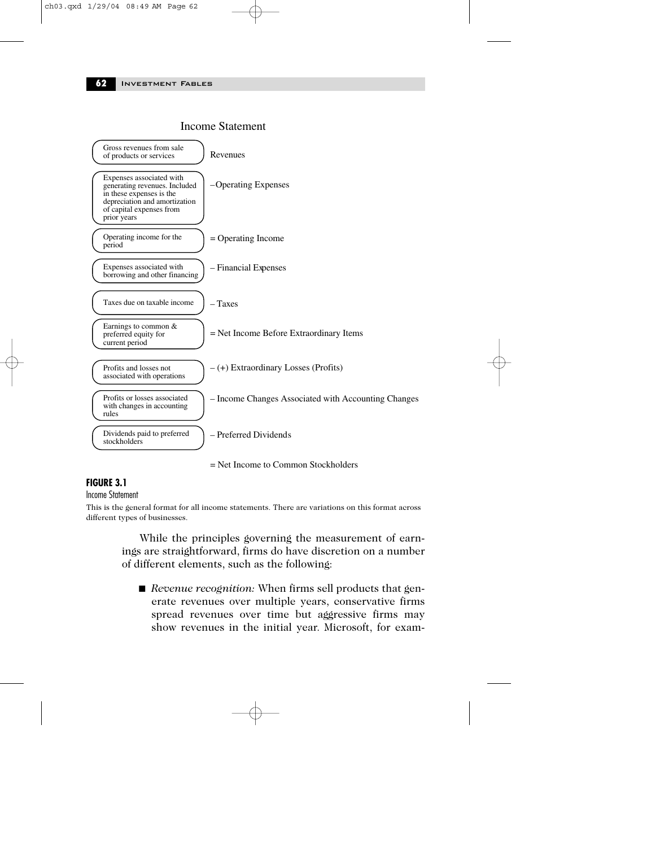





= Net Income to Common Stockholders

### **FIGURE 3.1**

### Income Statement

This is the general format for all income statements. There are variations on this format across different types of businesses.

> While the principles governing the measurement of earnings are straightforward, firms do have discretion on a number of different elements, such as the following:

■ *Revenue recognition:* When firms sell products that generate revenues over multiple years, conservative firms spread revenues over time but aggressive firms may show revenues in the initial year. Microsoft, for exam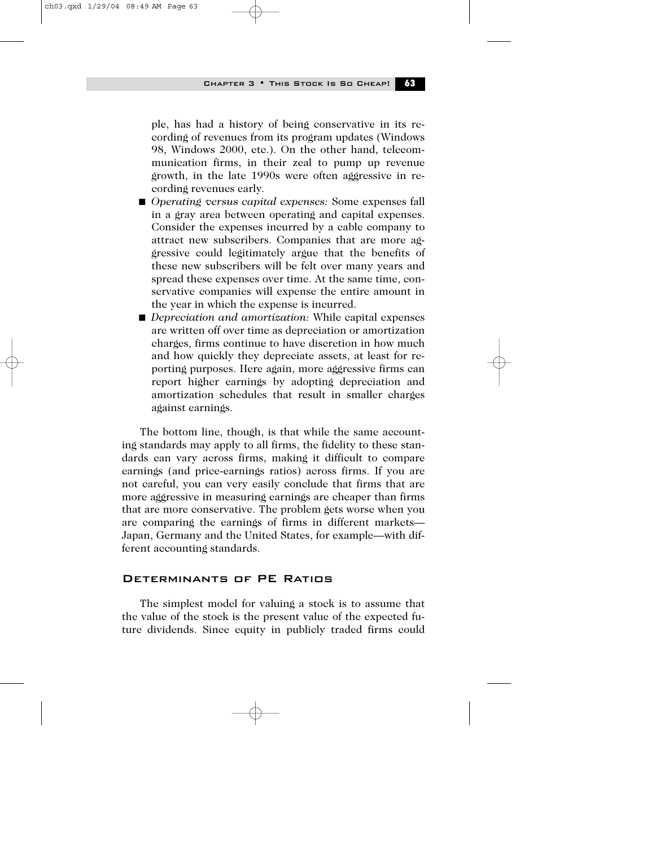CHAPTER 3 • THIS STOCK IS SO CHEAP! **63**

ple, has had a history of being conservative in its recording of revenues from its program updates (Windows 98, Windows 2000, etc.). On the other hand, telecommunication firms, in their zeal to pump up revenue growth, in the late 1990s were often aggressive in recording revenues early.

ch03.qxd 1/29/04 08:49 AM Page 63

- *Operating versus capital expenses:* Some expenses fall in a gray area between operating and capital expenses. Consider the expenses incurred by a cable company to attract new subscribers. Companies that are more aggressive could legitimately argue that the benefits of these new subscribers will be felt over many years and spread these expenses over time. At the same time, conservative companies will expense the entire amount in the year in which the expense is incurred.
- *Depreciation and amortization:* While capital expenses are written off over time as depreciation or amortization charges, firms continue to have discretion in how much and how quickly they depreciate assets, at least for reporting purposes. Here again, more aggressive firms can report higher earnings by adopting depreciation and amortization schedules that result in smaller charges against earnings.

The bottom line, though, is that while the same accounting standards may apply to all firms, the fidelity to these standards can vary across firms, making it difficult to compare earnings (and price-earnings ratios) across firms. If you are not careful, you can very easily conclude that firms that are more aggressive in measuring earnings are cheaper than firms that are more conservative. The problem gets worse when you are comparing the earnings of firms in different markets— Japan, Germany and the United States, for example—with different accounting standards.

### Determinants of PE Ratios

The simplest model for valuing a stock is to assume that the value of the stock is the present value of the expected future dividends. Since equity in publicly traded firms could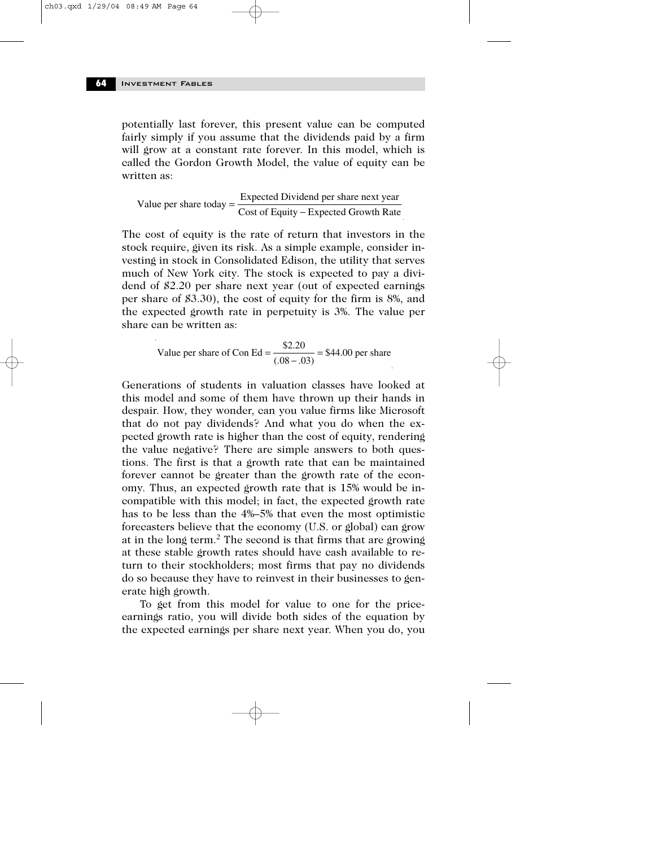potentially last forever, this present value can be computed fairly simply if you assume that the dividends paid by a firm will grow at a constant rate forever. In this model, which is called the Gordon Growth Model, the value of equity can be written as:

Value per share today  $=$   $\frac{Expected \ Dividend \ per \ share \ next \ year}{Cost \ of \ Equity - Expected \ Growth \ Rate}$ 

The cost of equity is the rate of return that investors in the stock require, given its risk. As a simple example, consider investing in stock in Consolidated Edison, the utility that serves much of New York city. The stock is expected to pay a dividend of \$2.20 per share next year (out of expected earnings per share of \$3.30), the cost of equity for the firm is 8%, and the expected growth rate in perpetuity is 3%. The value per share can be written as:

Value per share of Con Ed = 
$$
\frac{$2.20}{(.08 - .03)}
$$
 = \$44.00 per share

Generations of students in valuation classes have looked at this model and some of them have thrown up their hands in despair. How, they wonder, can you value firms like Microsoft that do not pay dividends? And what you do when the expected growth rate is higher than the cost of equity, rendering the value negative? There are simple answers to both questions. The first is that a growth rate that can be maintained forever cannot be greater than the growth rate of the economy. Thus, an expected growth rate that is 15% would be incompatible with this model; in fact, the expected growth rate has to be less than the 4%–5% that even the most optimistic forecasters believe that the economy (U.S. or global) can grow at in the long term.2 The second is that firms that are growing at these stable growth rates should have cash available to return to their stockholders; most firms that pay no dividends do so because they have to reinvest in their businesses to generate high growth.

To get from this model for value to one for the priceearnings ratio, you will divide both sides of the equation by the expected earnings per share next year. When you do, you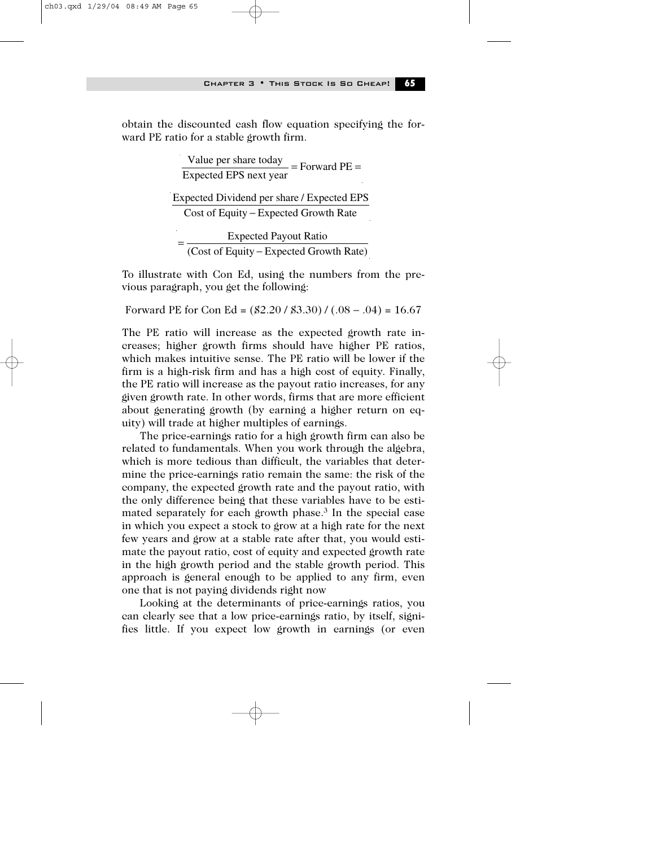obtain the discounted cash flow equation specifying the forward PE ratio for a stable growth firm.

> Expected Dividend per share / Expected EPS Value per share today<br>Expected EPS next year = Forward PE =

Cost of Equity – Expected Growth Rate

 $=\frac{E_{\text{A}}\text{pected a system}}{\text{(Cost of Equity – Expected Growth Rate)}}$ Expected Payout Ratio

To illustrate with Con Ed, using the numbers from the previous paragraph, you get the following:

Forward PE for Con Ed =  $(\$2.20 / \$3.30) / (.08 - .04) = 16.67$ 

The PE ratio will increase as the expected growth rate increases; higher growth firms should have higher PE ratios, which makes intuitive sense. The PE ratio will be lower if the firm is a high-risk firm and has a high cost of equity. Finally, the PE ratio will increase as the payout ratio increases, for any given growth rate. In other words, firms that are more efficient about generating growth (by earning a higher return on equity) will trade at higher multiples of earnings.

The price-earnings ratio for a high growth firm can also be related to fundamentals. When you work through the algebra, which is more tedious than difficult, the variables that determine the price-earnings ratio remain the same: the risk of the company, the expected growth rate and the payout ratio, with the only difference being that these variables have to be estimated separately for each growth phase.<sup>3</sup> In the special case in which you expect a stock to grow at a high rate for the next few years and grow at a stable rate after that, you would estimate the payout ratio, cost of equity and expected growth rate in the high growth period and the stable growth period. This approach is general enough to be applied to any firm, even one that is not paying dividends right now

Looking at the determinants of price-earnings ratios, you can clearly see that a low price-earnings ratio, by itself, signifies little. If you expect low growth in earnings (or even

**65**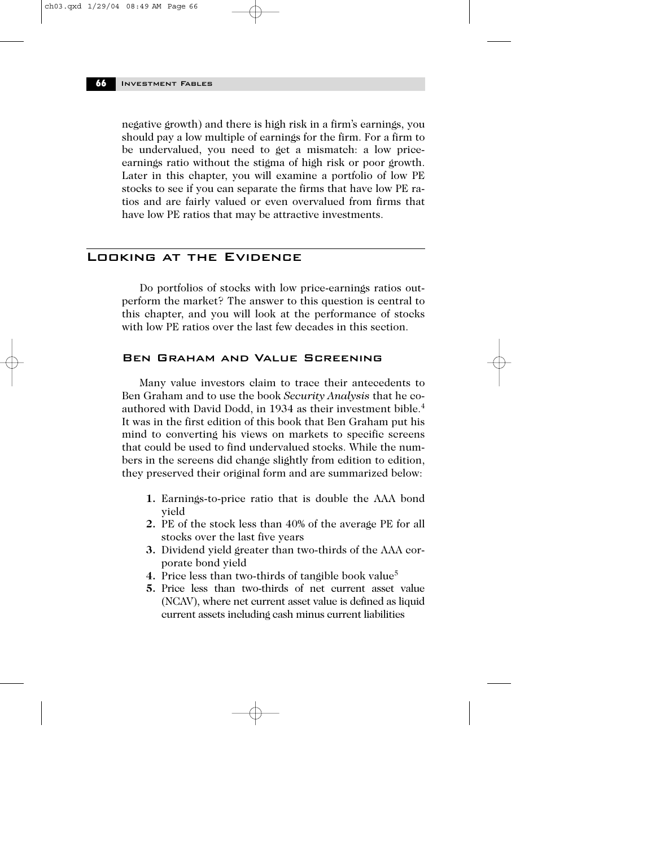negative growth) and there is high risk in a firm's earnings, you should pay a low multiple of earnings for the firm. For a firm to be undervalued, you need to get a mismatch: a low priceearnings ratio without the stigma of high risk or poor growth. Later in this chapter, you will examine a portfolio of low PE stocks to see if you can separate the firms that have low PE ratios and are fairly valued or even overvalued from firms that have low PE ratios that may be attractive investments.

# Looking at the Evidence

Do portfolios of stocks with low price-earnings ratios outperform the market? The answer to this question is central to this chapter, and you will look at the performance of stocks with low PE ratios over the last few decades in this section.

## Ben Graham and Value Screening

Many value investors claim to trace their antecedents to Ben Graham and to use the book *Security Analysis* that he coauthored with David Dodd, in 1934 as their investment bible.4 It was in the first edition of this book that Ben Graham put his mind to converting his views on markets to specific screens that could be used to find undervalued stocks. While the numbers in the screens did change slightly from edition to edition, they preserved their original form and are summarized below:

- **1.** Earnings-to-price ratio that is double the AAA bond yield
- **2.** PE of the stock less than 40% of the average PE for all stocks over the last five years
- **3.** Dividend yield greater than two-thirds of the AAA corporate bond yield
- **4.** Price less than two-thirds of tangible book value<sup>5</sup>
- **5.** Price less than two-thirds of net current asset value (NCAV), where net current asset value is defined as liquid current assets including cash minus current liabilities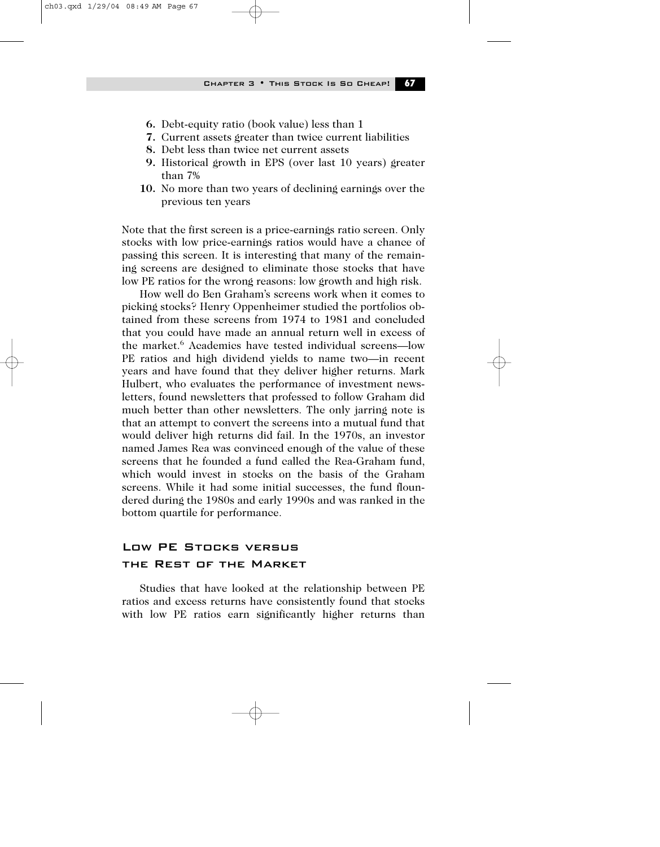CHAPTER 3 • THIS STOCK IS SO CHEAP! **67**

- **6.** Debt-equity ratio (book value) less than 1
- **7.** Current assets greater than twice current liabilities
- **8.** Debt less than twice net current assets
- **9.** Historical growth in EPS (over last 10 years) greater than 7%
- **10.** No more than two years of declining earnings over the previous ten years

Note that the first screen is a price-earnings ratio screen. Only stocks with low price-earnings ratios would have a chance of passing this screen. It is interesting that many of the remaining screens are designed to eliminate those stocks that have low PE ratios for the wrong reasons: low growth and high risk.

How well do Ben Graham's screens work when it comes to picking stocks? Henry Oppenheimer studied the portfolios obtained from these screens from 1974 to 1981 and concluded that you could have made an annual return well in excess of the market.<sup>6</sup> Academics have tested individual screens-low PE ratios and high dividend yields to name two—in recent years and have found that they deliver higher returns. Mark Hulbert, who evaluates the performance of investment newsletters, found newsletters that professed to follow Graham did much better than other newsletters. The only jarring note is that an attempt to convert the screens into a mutual fund that would deliver high returns did fail. In the 1970s, an investor named James Rea was convinced enough of the value of these screens that he founded a fund called the Rea-Graham fund, which would invest in stocks on the basis of the Graham screens. While it had some initial successes, the fund floundered during the 1980s and early 1990s and was ranked in the bottom quartile for performance.

### Low PE Stocks versus the Rest of the Market

Studies that have looked at the relationship between PE ratios and excess returns have consistently found that stocks with low PE ratios earn significantly higher returns than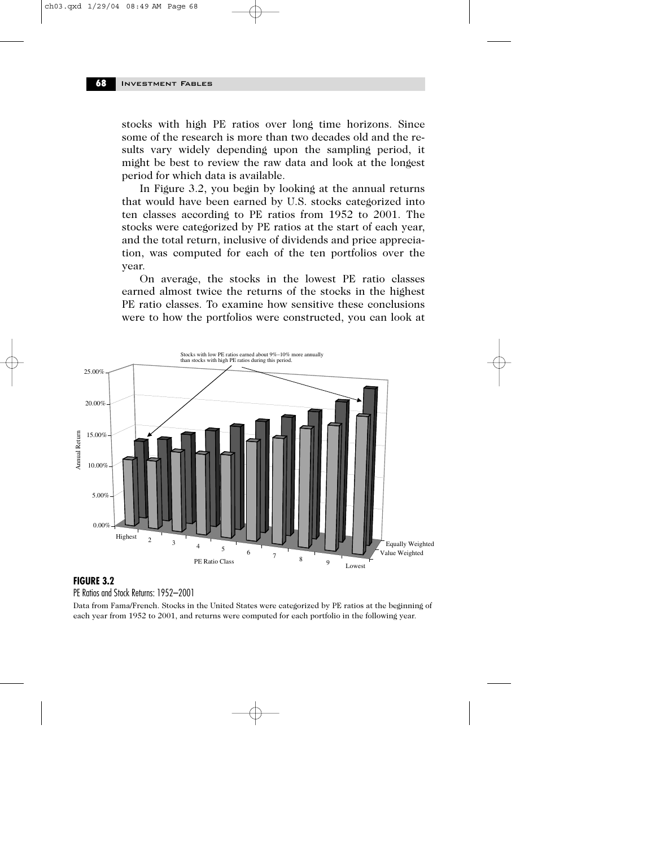stocks with high PE ratios over long time horizons. Since some of the research is more than two decades old and the results vary widely depending upon the sampling period, it might be best to review the raw data and look at the longest period for which data is available.

In Figure 3.2, you begin by looking at the annual returns that would have been earned by U.S. stocks categorized into ten classes according to PE ratios from 1952 to 2001. The stocks were categorized by PE ratios at the start of each year, and the total return, inclusive of dividends and price appreciation, was computed for each of the ten portfolios over the year.

On average, the stocks in the lowest PE ratio classes earned almost twice the returns of the stocks in the highest PE ratio classes. To examine how sensitive these conclusions were to how the portfolios were constructed, you can look at



### **FIGURE 3.2**

PE Ratios and Stock Returns: 1952–2001

Data from Fama/French. Stocks in the United States were categorized by PE ratios at the beginning of each year from 1952 to 2001, and returns were computed for each portfolio in the following year.



ch03.qxd 1/29/04 08:49 AM Page 68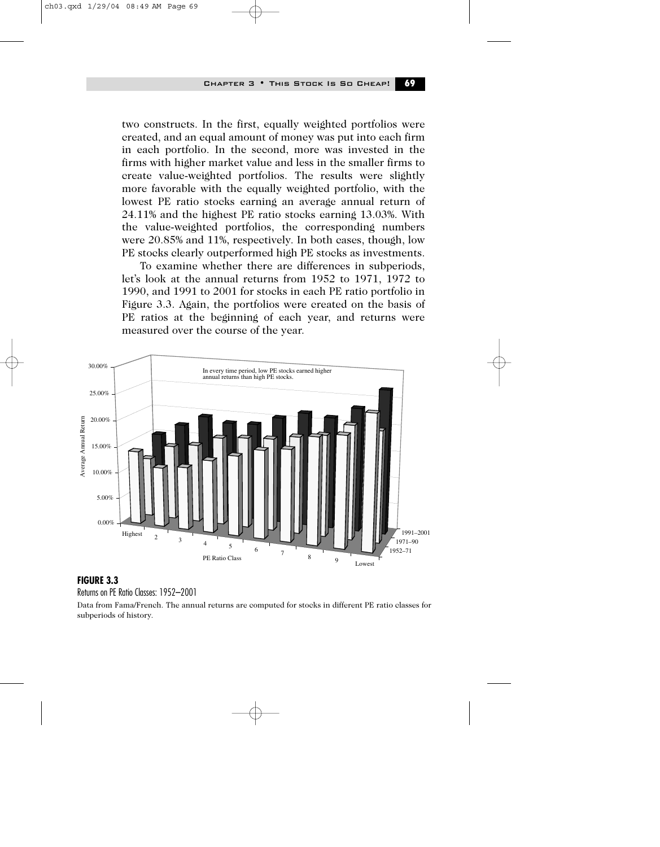two constructs. In the first, equally weighted portfolios were created, and an equal amount of money was put into each firm in each portfolio. In the second, more was invested in the firms with higher market value and less in the smaller firms to create value-weighted portfolios. The results were slightly more favorable with the equally weighted portfolio, with the lowest PE ratio stocks earning an average annual return of 24.11% and the highest PE ratio stocks earning 13.03%. With the value-weighted portfolios, the corresponding numbers were 20.85% and 11%, respectively. In both cases, though, low PE stocks clearly outperformed high PE stocks as investments.

To examine whether there are differences in subperiods, let's look at the annual returns from 1952 to 1971, 1972 to 1990, and 1991 to 2001 for stocks in each PE ratio portfolio in Figure 3.3. Again, the portfolios were created on the basis of PE ratios at the beginning of each year, and returns were measured over the course of the year.



### **FIGURE 3.3**

Returns on PE Ratio Classes: 1952–2001

Data from Fama/French. The annual returns are computed for stocks in different PE ratio classes for subperiods of history.

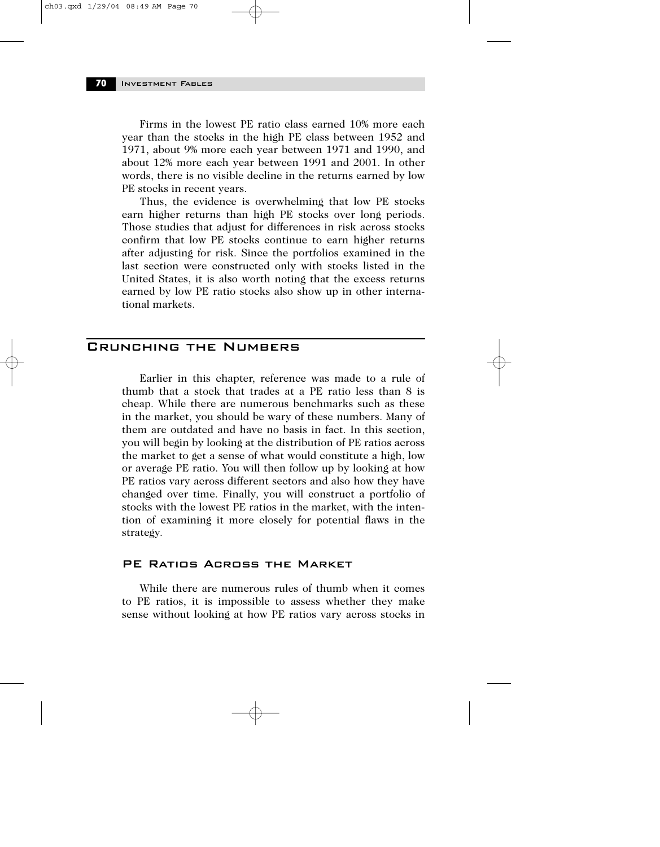Firms in the lowest PE ratio class earned 10% more each year than the stocks in the high PE class between 1952 and 1971, about 9% more each year between 1971 and 1990, and about 12% more each year between 1991 and 2001. In other words, there is no visible decline in the returns earned by low PE stocks in recent years.

Thus, the evidence is overwhelming that low PE stocks earn higher returns than high PE stocks over long periods. Those studies that adjust for differences in risk across stocks confirm that low PE stocks continue to earn higher returns after adjusting for risk. Since the portfolios examined in the last section were constructed only with stocks listed in the United States, it is also worth noting that the excess returns earned by low PE ratio stocks also show up in other international markets.

# Crunching the Numbers

Earlier in this chapter, reference was made to a rule of thumb that a stock that trades at a PE ratio less than 8 is cheap. While there are numerous benchmarks such as these in the market, you should be wary of these numbers. Many of them are outdated and have no basis in fact. In this section, you will begin by looking at the distribution of PE ratios across the market to get a sense of what would constitute a high, low or average PE ratio. You will then follow up by looking at how PE ratios vary across different sectors and also how they have changed over time. Finally, you will construct a portfolio of stocks with the lowest PE ratios in the market, with the intention of examining it more closely for potential flaws in the strategy.

## PE Ratios Across the Market

While there are numerous rules of thumb when it comes to PE ratios, it is impossible to assess whether they make sense without looking at how PE ratios vary across stocks in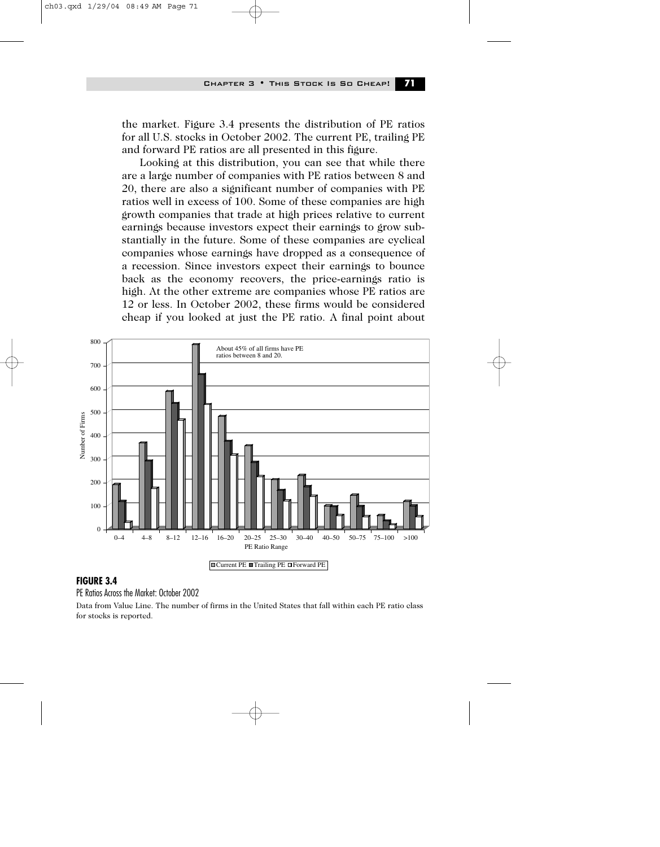the market. Figure 3.4 presents the distribution of PE ratios for all U.S. stocks in October 2002. The current PE, trailing PE and forward PE ratios are all presented in this figure.

Looking at this distribution, you can see that while there are a large number of companies with PE ratios between 8 and 20, there are also a significant number of companies with PE ratios well in excess of 100. Some of these companies are high growth companies that trade at high prices relative to current earnings because investors expect their earnings to grow substantially in the future. Some of these companies are cyclical companies whose earnings have dropped as a consequence of a recession. Since investors expect their earnings to bounce back as the economy recovers, the price-earnings ratio is high. At the other extreme are companies whose PE ratios are 12 or less. In October 2002, these firms would be considered cheap if you looked at just the PE ratio. A final point about



### **FIGURE 3.4**

PE Ratios Across the Market: October 2002

ch03.qxd 1/29/04 08:49 AM Page 71

Data from Value Line. The number of firms in the United States that fall within each PE ratio class for stocks is reported.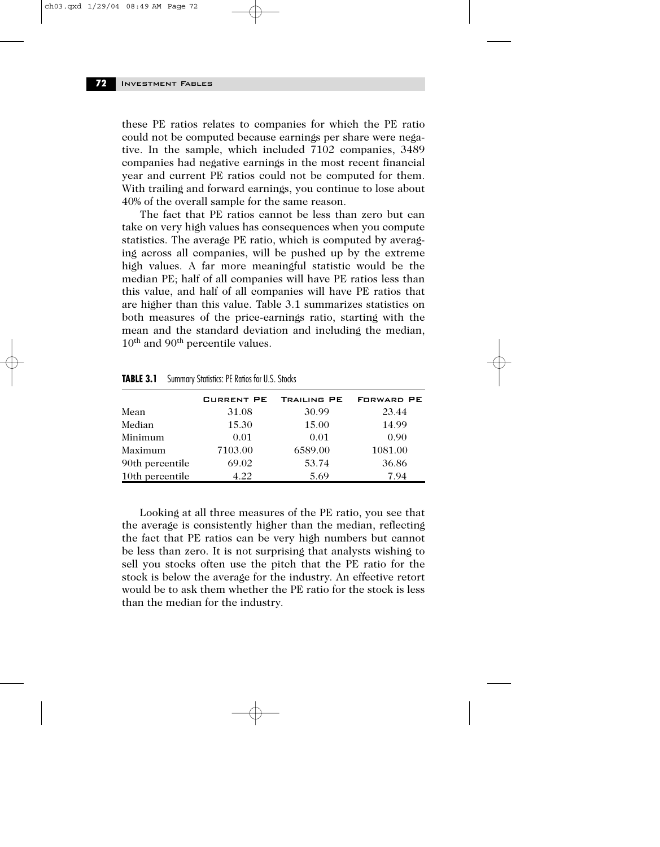these PE ratios relates to companies for which the PE ratio could not be computed because earnings per share were negative. In the sample, which included 7102 companies, 3489 companies had negative earnings in the most recent financial year and current PE ratios could not be computed for them. With trailing and forward earnings, you continue to lose about 40% of the overall sample for the same reason.

The fact that PE ratios cannot be less than zero but can take on very high values has consequences when you compute statistics. The average PE ratio, which is computed by averaging across all companies, will be pushed up by the extreme high values. A far more meaningful statistic would be the median PE; half of all companies will have PE ratios less than this value, and half of all companies will have PE ratios that are higher than this value. Table 3.1 summarizes statistics on both measures of the price-earnings ratio, starting with the mean and the standard deviation and including the median, 10<sup>th</sup> and 90<sup>th</sup> percentile values.

| TABLE 3.1 | Summary Statistics: PE Ratios for U.S. Stocks |  |
|-----------|-----------------------------------------------|--|
|-----------|-----------------------------------------------|--|

|                 | <b>CURRENT PE</b> | <b>TRAILING PE</b> | <b>FORWARD PE</b> |
|-----------------|-------------------|--------------------|-------------------|
| Mean            | 31.08             | 30.99              | 23.44             |
| Median          | 15.30             | 15.00              | 14.99             |
| Minimum         | 0.01              | 0.01               | 0.90              |
| Maximum         | 7103.00           | 6589.00            | 1081.00           |
| 90th percentile | 69.02             | 53.74              | 36.86             |
| 10th percentile | 4.22              | 5.69               | 7.94              |

Looking at all three measures of the PE ratio, you see that the average is consistently higher than the median, reflecting the fact that PE ratios can be very high numbers but cannot be less than zero. It is not surprising that analysts wishing to sell you stocks often use the pitch that the PE ratio for the stock is below the average for the industry. An effective retort would be to ask them whether the PE ratio for the stock is less than the median for the industry.

ch03.qxd 1/29/04 08:49 AM Page 72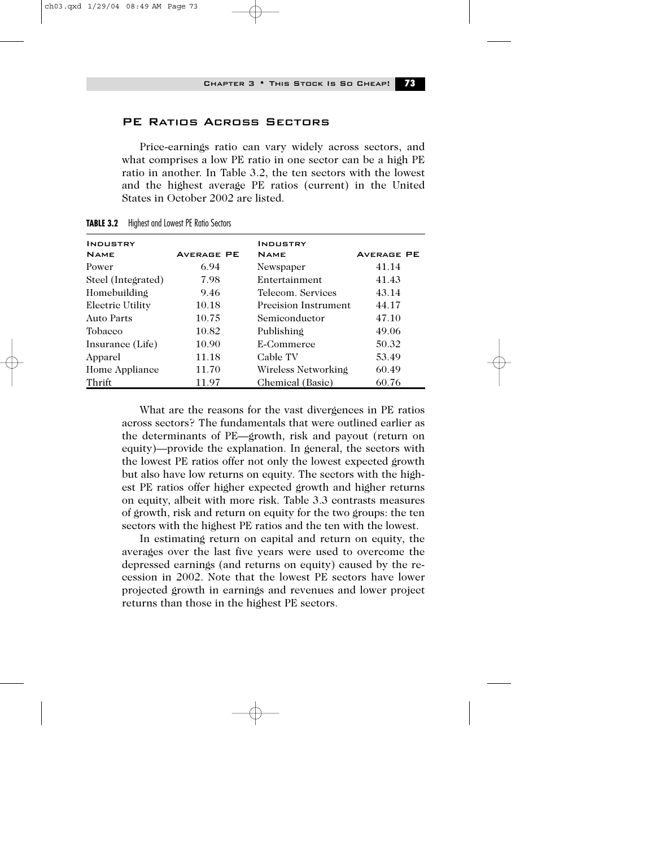## PE Ratios Across Sectors

Price-earnings ratio can vary widely across sectors, and what comprises a low PE ratio in one sector can be a high PE ratio in another. In Table 3.2, the ten sectors with the lowest and the highest average PE ratios (current) in the United States in October 2002 are listed.

| Highest and Lowest PE Ratio Sectors<br><b>TABLE 3.2</b> |  |  |  |
|---------------------------------------------------------|--|--|--|
|---------------------------------------------------------|--|--|--|

| <b>INDUSTRY</b>         |                   | <b>INDUSTRY</b>      |                   |
|-------------------------|-------------------|----------------------|-------------------|
| <b>NAME</b>             | <b>AVERAGE PE</b> | <b>NAME</b>          | <b>AVERAGE PE</b> |
| Power                   | 6.94              | Newspaper            | 41.14             |
| Steel (Integrated)      | 7.98              | Entertainment        | 41.43             |
| Homebuilding            | 9.46              | Telecom, Services    | 43.14             |
| <b>Electric Utility</b> | 10.18             | Precision Instrument | 44.17             |
| <b>Auto Parts</b>       | 10.75             | Semiconductor        | 47.10             |
| Tobacco                 | 10.82             | Publishing           | 49.06             |
| Insurance (Life)        | 10.90             | E-Commerce           | 50.32             |
| Apparel                 | 11.18             | Cable TV             | 53.49             |
| Home Appliance          | 11.70             | Wireless Networking  | 60.49             |
| Thrift                  | 11.97             | Chemical (Basic)     | 60.76             |

What are the reasons for the vast divergences in PE ratios across sectors? The fundamentals that were outlined earlier as the determinants of PE—growth, risk and payout (return on equity)—provide the explanation. In general, the sectors with the lowest PE ratios offer not only the lowest expected growth but also have low returns on equity. The sectors with the highest PE ratios offer higher expected growth and higher returns on equity, albeit with more risk. Table 3.3 contrasts measures of growth, risk and return on equity for the two groups: the ten sectors with the highest PE ratios and the ten with the lowest.

In estimating return on capital and return on equity, the averages over the last five years were used to overcome the depressed earnings (and returns on equity) caused by the recession in 2002. Note that the lowest PE sectors have lower projected growth in earnings and revenues and lower project returns than those in the highest PE sectors.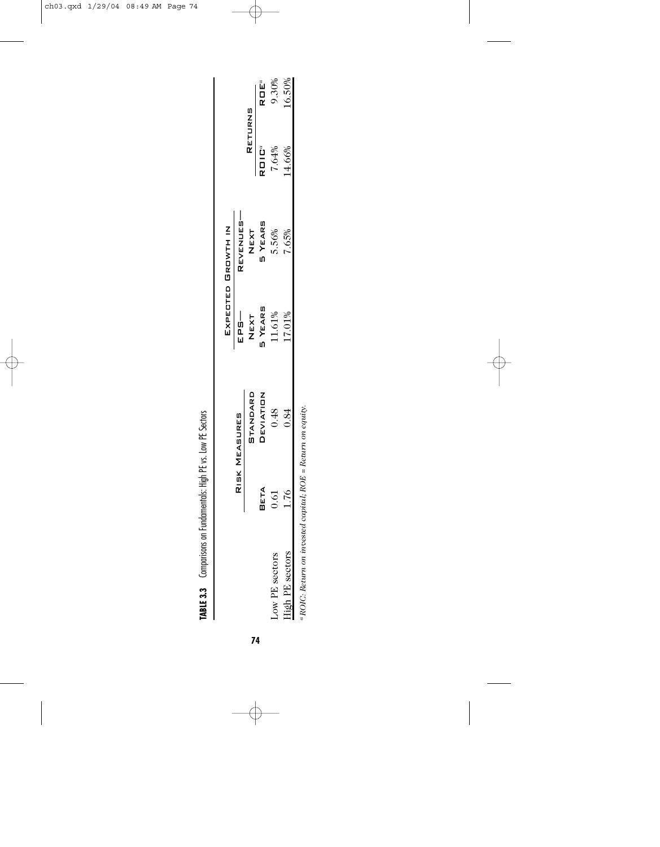| $\ddot{\phantom{a}}$<br>i |
|---------------------------|
| ż<br>ייים בש<br>ì         |
| con Lindow                |
| ------------              |
| ;<br>;                    |

|                 |                 |                  |         | EXPECTED GROWTH IN |                |        |
|-----------------|-----------------|------------------|---------|--------------------|----------------|--------|
|                 |                 | RISK MEASURES    | ம்<br>ட | REVENUES-          |                |        |
|                 |                 | STANDARD         | トメロ     | <b>HXAN</b>        | <b>RETURNS</b> |        |
|                 | BET             | <b>DEVIATION</b> | 5 YEARS | 5 YEARS            | ROIC"          | ROE"   |
| Low PE sectors  | $\tilde{\zeta}$ | 0.48             | 11.61%  | 5.56%              |                | 9.30%  |
| High PE sectors | ľ               |                  | 17.01%  |                    |                | 16.509 |

 $\overline{\varphi}$ 

**74**

 $\alpha$ ROIC: Return on invested capital; ROE = Return on equity. *a ROIC: Return on invested capital; ROE = Return on equity.*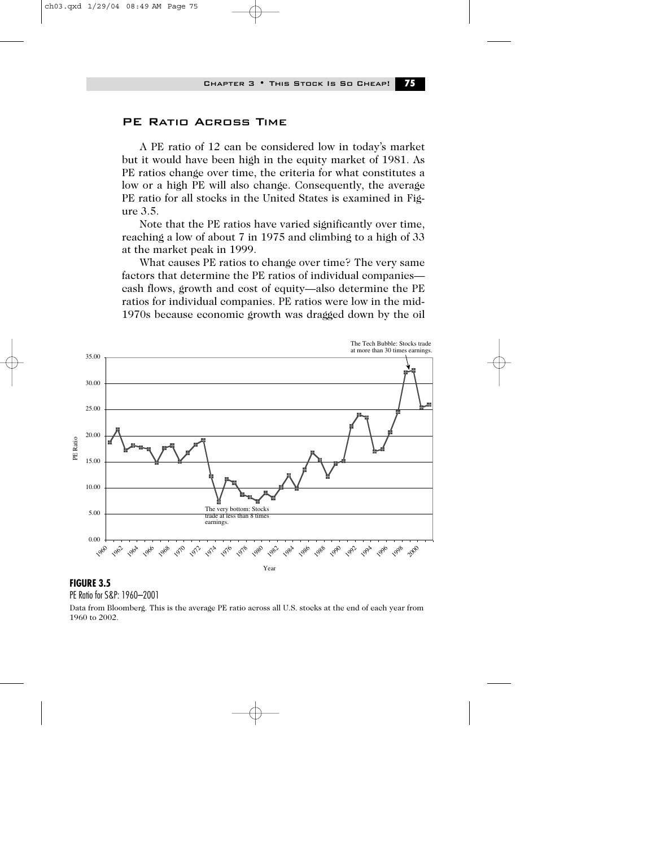## PE Ratio Across Time

ch03.qxd 1/29/04 08:49 AM Page 75

A PE ratio of 12 can be considered low in today's market but it would have been high in the equity market of 1981. As PE ratios change over time, the criteria for what constitutes a low or a high PE will also change. Consequently, the average PE ratio for all stocks in the United States is examined in Figure 3.5.

Note that the PE ratios have varied significantly over time, reaching a low of about 7 in 1975 and climbing to a high of 33 at the market peak in 1999.

What causes PE ratios to change over time? The very same factors that determine the PE ratios of individual companies cash flows, growth and cost of equity—also determine the PE ratios for individual companies. PE ratios were low in the mid-1970s because economic growth was dragged down by the oil



### **FIGURE 3.5**

PE Ratio for S&P: 1960–2001

Data from Bloomberg. This is the average PE ratio across all U.S. stocks at the end of each year from 1960 to 2002.

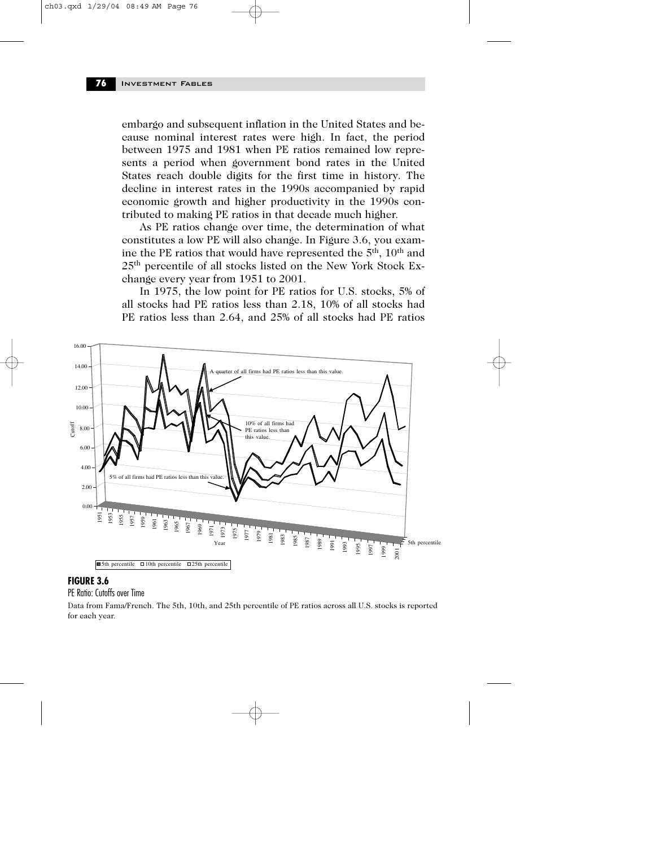embargo and subsequent inflation in the United States and because nominal interest rates were high. In fact, the period between 1975 and 1981 when PE ratios remained low represents a period when government bond rates in the United States reach double digits for the first time in history. The decline in interest rates in the 1990s accompanied by rapid economic growth and higher productivity in the 1990s contributed to making PE ratios in that decade much higher.

As PE ratios change over time, the determination of what constitutes a low PE will also change. In Figure 3.6, you examine the PE ratios that would have represented the  $5<sup>th</sup>$ ,  $10<sup>th</sup>$  and 25th percentile of all stocks listed on the New York Stock Exchange every year from 1951 to 2001.

In 1975, the low point for PE ratios for U.S. stocks, 5% of all stocks had PE ratios less than 2.18, 10% of all stocks had PE ratios less than 2.64, and 25% of all stocks had PE ratios



### **FIGURE 3.6**

### PE Ratio: Cutoffs over Time

Data from Fama/French. The 5th, 10th, and 25th percentile of PE ratios across all U.S. stocks is reported for each year.



ch03.qxd 1/29/04 08:49 AM Page 76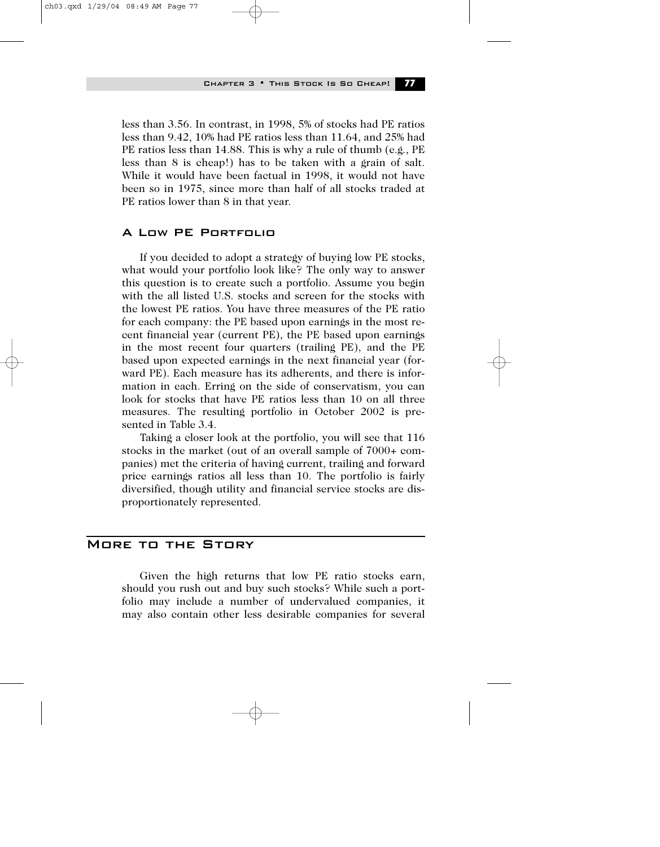less than 3.56. In contrast, in 1998, 5% of stocks had PE ratios less than 9.42, 10% had PE ratios less than 11.64, and 25% had PE ratios less than 14.88. This is why a rule of thumb (e.g., PE less than 8 is cheap!) has to be taken with a grain of salt. While it would have been factual in 1998, it would not have been so in 1975, since more than half of all stocks traded at PE ratios lower than 8 in that year.

## A Low PE Portfolio

ch03.qxd 1/29/04 08:49 AM Page 77

If you decided to adopt a strategy of buying low PE stocks, what would your portfolio look like? The only way to answer this question is to create such a portfolio. Assume you begin with the all listed U.S. stocks and screen for the stocks with the lowest PE ratios. You have three measures of the PE ratio for each company: the PE based upon earnings in the most recent financial year (current PE), the PE based upon earnings in the most recent four quarters (trailing PE), and the PE based upon expected earnings in the next financial year (forward PE). Each measure has its adherents, and there is information in each. Erring on the side of conservatism, you can look for stocks that have PE ratios less than 10 on all three measures. The resulting portfolio in October 2002 is presented in Table 3.4.

Taking a closer look at the portfolio, you will see that 116 stocks in the market (out of an overall sample of 7000+ companies) met the criteria of having current, trailing and forward price earnings ratios all less than 10. The portfolio is fairly diversified, though utility and financial service stocks are disproportionately represented.

# More to the Story

Given the high returns that low PE ratio stocks earn, should you rush out and buy such stocks? While such a portfolio may include a number of undervalued companies, it may also contain other less desirable companies for several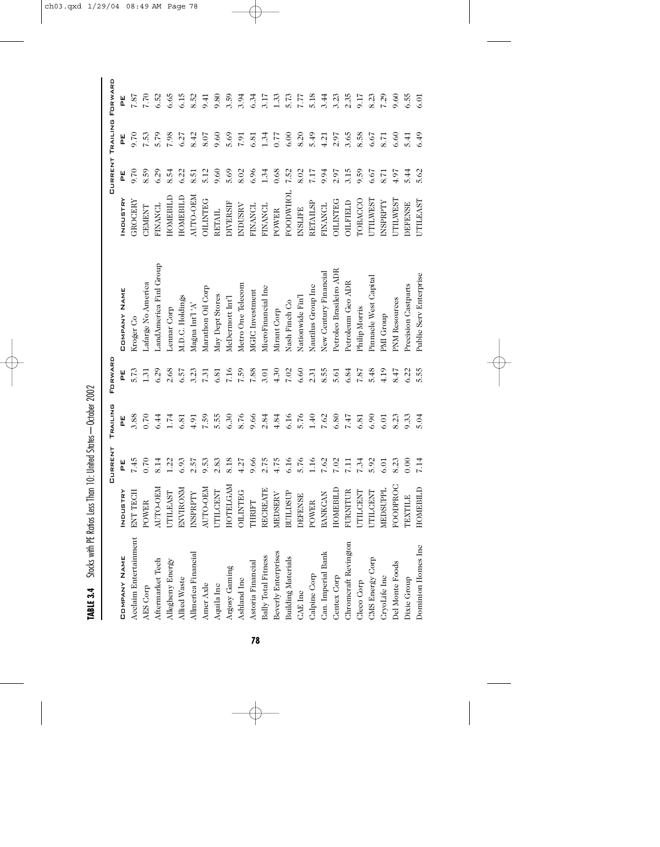| ŝ<br> <br> <br>                       |
|---------------------------------------|
| $\frac{2}{3}$<br>ï                    |
| Patine Loce T<br>$\frac{1}{2}$<br>ミミミ |
| 5<br>TARIE 2/<br>i                    |

 $\overline{\phantom{a}}$ 

|                            |                 | CURRENT | TRAILING | FORWARD |                         |                 |      |             | CURRENT TRAILING FORWARD |
|----------------------------|-----------------|---------|----------|---------|-------------------------|-----------------|------|-------------|--------------------------|
| <b>COMPANY NAME</b>        | INDUSTRY        | 씬       | 씬        | 빝       | <b>COMPANY NAME</b>     | NDUSTRY         | 씬    | 씬           | 빝                        |
| Acclaim Entertainment      | ENT TECH        | 7.45    | 3.88     | 5.73    | Kroger Co               | GROCERY         | 9.70 | 0.70        | 7.87                     |
| AES Corp                   | <b>POWER</b>    | 0.70    | 0.70     | 1.31    | Lafarge No America      | CEMENT          | 8.59 | 7.53        | 02.7                     |
| Aftermarket Tech           | AUTO-OEM        | 8.14    | 6.44     | 6.29    | LandAmerica Finl Group  | <b>FINANCL</b>  | 6.29 | 5.79        | 6.52                     |
| <b>Allegheny Energy</b>    | UTILEAST        | 1.22    | 1.74     | 2.68    | Lennar Corp             | HOMEBILD        | 8.54 | 86.2        | 6.65                     |
| <b>Ulied Waste</b>         | <b>ENVIRONM</b> | 6.93    | 6.81     | 6.57    | M.D.C. Holdings         | HOMEBILD        | 6.22 | 6.27        | 6.15                     |
| Allmerica Financial        | <b>INSPRPTY</b> | 2.57    | 4.91     | 3.23    | Magna Int'l 'A'         | AUTO-OEM        | 8.51 | 8.42        | 8.52                     |
| Amer Axle                  | AUTO-OEM        | 9.53    | 7.59     | 7.31    | Marathon Oil Corp       | OILINTEG        | 5.12 | 8.07        | 9.41                     |
| Aquila Inc                 | UTILCENT        | 2.83    | 5.55     | 6.81    | May Dept Stores         | RETAIL          | 9.60 | 9.60        | 0.80                     |
| Argosy Gaming              | HOTELGAM        | 8.18    | 6.30     | 7.16    | McDermott Int'l         | DIVERSIF        | 5.69 | 5.69        | 3.59                     |
| Ashland Inc                | <b>OILINTEG</b> | 4.27    | 8.76     | 7.59    | Metro One Telecom       | <b>INDUSRV</b>  | 8.02 | <b>I6'Z</b> | 3.94                     |
| Astoria Financial          | <b>THRIFT</b>   | 9.66    | 9.66     | 7.88    | MGIC Investment         | FINANCL         | 6.96 | 6.81        | 6.34                     |
| <b>Bally Total Fitness</b> | RECREATE        | 2.75    | 2.84     | 3.01    | MicroFinancial Inc      | <b>FINANCL</b>  | 1.34 | 1.34        | 3.17                     |
| <b>Beverly Enterprises</b> | <b>MEDSERV</b>  | 4.75    | 4.84     | 4.30    | Mirant Corp             | POWER           | 0.68 | 0.77        | 1.33                     |
| <b>Building Materials</b>  | <b>BUILDSUP</b> | 6.16    | 6.16     | 7.02    | Nash Finch Co           | <b>FOODWHOL</b> | 7.52 | 6.00        | 5.73                     |
| CAE Inc                    | <b>DEFENSE</b>  | 5.76    | 5.76     | 6.60    | Nationwide Fin'l        | <b>INSLIFE</b>  | 8.02 | 8.20        | 7.77                     |
| Calpine Corp               | <b>POWER</b>    | 1.16    | 1.40     | 2.31    | Nautilus Group Inc      | RETAILSP        | 7.17 | 5.49        | 5.18                     |
| Can. Imperial Bank         | <b>BANKCAN</b>  | 7.62    | 7.62     | 8.55    | New Century Financial   | <b>FINANCL</b>  | 9.94 | 4.21        | 3.44                     |
| Centex Corp                | HOMEBILD        | 7.02    | 6.80     | 5.61    | Petroleo Brasileiro ADR | OILINTEG        | 2.97 | 2.97        | 3.23                     |
| Chromeraft Revington       | FURNITUR        | 7.11    | 747      | 6.84    | Petroleum Geo ADR       | <b>OILFIELD</b> | 3.15 | 3.65        | 2.35                     |
| Cleco Corp                 | UTILCENT        | 7.34    | 6.81     | 7.87    | <b>Philip Morris</b>    | TOBACCO         | 9.59 | 8.58        | 9.17                     |
| CMS Energy Corp            | UTILCENT        | 5.92    | 6.90     | 5.48    | Pinnacle West Capital   | <b>UTILWEST</b> | 6.67 | 6.67        | 8.23                     |
| CryoLife Inc               | MEDSUPPL        | 6.01    | 6.01     | 4.19    | PMI Group               | <b>NSPRPTY</b>  | 8.71 | 8.71        | 7.29                     |
| Del Monte Foods            | FOODPROC        | 8.23    | 8.23     | 8.47    | <b>PNM</b> Resources    | <b>TRAILTY</b>  | 4.97 | 6.60        | 9.60                     |
| Dixie Group                | <b>TEXTILE</b>  | 0.00    | 9.33     | 6.22    | Precision Castparts     | <b>DEFENSE</b>  | 5.44 | 5.41        | 6.55                     |
| Dominion Homes Inc         | HOMBBILD        | 7.14    | 5.04     | 5.55    | Public Serv Enterprise  | UTILEAST        | 5.62 | 6.49        | 5.01                     |

 $\bigoplus$ 

I

**78**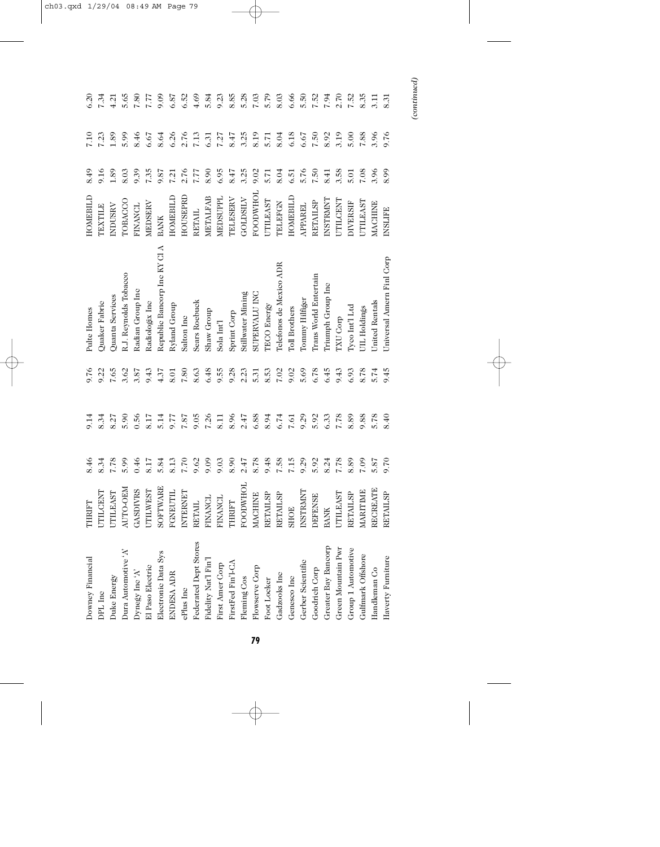| Downey Financial                     | THRIFT          | 8.46        | 9.14       | 9.76 | Pulte Homes                  | HOMEBILD        | 8.49 | 7.10 | 6.20 |
|--------------------------------------|-----------------|-------------|------------|------|------------------------------|-----------------|------|------|------|
| DPL Inc                              | UTILCENT        | 8.34        | 8.34       | 9.22 | Quaker Fabric                | TEXTILE         | 9.16 | 7.23 | 7.34 |
| Duke Energy                          | <b>UTILEAST</b> | 7.78        | 8.27       | 7.65 | Quanta Services              | <b>INDUSRV</b>  | 1.89 | 1.89 | 4.21 |
| Dura Automotive $\mathcal{X}$        | AUTO-OEM        | 5.99        | 5.90       | 3.62 | R.J. Reynolds Tobacco        | TOBACCO         | 8.03 | 5.99 | 5.65 |
| Dynegy Inc $\lq A'$ El Paso Electric | <b>GASDIVRS</b> | 0.46        | 0.56       | 3.87 | Radian Group Inc             | <b>FINANCL</b>  | 9.39 | 8.46 | 7.80 |
|                                      | <b>UTILWEST</b> | 8.17        | 8.17       | 9.43 | Radiologix Inc               | MEDSERV         | 7.35 | 6.67 | 7.77 |
| Electronic Data Sys<br>ENDESA ADR    | SOFTWARE        | 5.84        | 5.14       | 4.37 | Republic Bancorp Inc KY Cl A | <b>BANK</b>     | 9.87 | 8.64 | 9.09 |
|                                      | <b>FGNEUTIL</b> | 8.13        | 577        | 8.01 | Ryland Group                 | HOMBBILD        | 7.21 | 6.26 | 6.87 |
| ePlus Inc                            | <b>NTERNET</b>  | 7.70        | 7.87       | 7.80 | Salton Inc                   | HOUSEPRD        | 2.76 | 2.76 | 6.52 |
| <b>Federated Dept Stores</b>         | <b>RETAIL</b>   | 9.62        | 9.05       | 8.63 | Sears Roebuck                | <b>RETAIL</b>   | 7.77 | 7.13 | 4.69 |
| Fidelity Nat'l Fin'l                 | <b>INANCL</b>   | 9.09        | 7.26       | 6.48 | Shaw Group                   | METALFAB        | 8.90 | 6.31 | 5.84 |
| First Amer Corp                      | <b>FINANCL</b>  | 9.03        | 8.11       | 9.55 | Sola Int'l                   | MEDSUPPL        | 6.95 | 7.27 | 9.23 |
| FirstFed Fin'I-CA                    | THRIFT          | 8.90        | 8.96       | 9.28 | Sprint Corp                  | TELESERV        | 8.47 | 8.47 | 8.85 |
| leming Cos                           | <b>TOHMIOO</b>  | 2.47        | 2.47       | 2.23 | Stillwater Mining            | <b>GOLDSILV</b> | 3.25 | 3.25 | 5.28 |
| Flowserve Corp                       | <b>IACHINE</b>  | 8.78        | 6.88       | 5.31 | SUPERVALU INC                | <b>FOODWHOL</b> | 9.02 | 8.19 | 7.03 |
| Foot Locker                          | RETAILSP        | 9.48        | 8.94       | 8.53 | <b>IECO</b> Energy           | <b>UTILEAST</b> | 5.71 | 5.71 | 5.79 |
| Gadzooks Inc                         | RETAILSP        | 7.58        | 6.74       | 7.02 | Telefonos de Mexico ADR      | TELEFGN         | 8.04 | 8.04 | 8.03 |
| Genesco Inc                          | <b>SHOE</b>     | 7.15        | <b>161</b> | 9.02 | <b>Toll Brothers</b>         | HOMEBILD        | 6.51 | 6.18 | 6.66 |
| Gerber Scientific                    | <b>INSTRMNT</b> | 9.29        | 9.29       | 5.69 | Tommy Hilfiger               | <b>APPAREL</b>  | 5.76 | 6.67 | 5.50 |
| Goodrich Corp                        | <b>DEFENSE</b>  | 5.92        | 5.92       | 6.78 | Trans World Entertain        | RETAILSP        | 7.50 | 7.50 | 7.52 |
| Greater Bay Bancorp                  | <b>BANK</b>     | 8.24        | 6.33       | 6.45 | Criumph Group Inc            | <b>INSTRMNT</b> | 8.41 | 8.92 | 7.94 |
| Green Mountain Pwr                   | UTILEAST        | 7.78        | 7.78       | 9.43 | <b>IXU Corp</b>              | UTILCENT        | 3.58 | 3.19 | 2.70 |
| Group 1 Automotive                   | RETAILSP        | 8.89        | 8.89       | 6.93 | Iyeo Int'l Ltd               | <b>DIVERSIF</b> | 5.01 | 5.00 | 7.52 |
| Gulfmark Offshore                    | <b>MARITIME</b> | <b>60.7</b> | 9.88       | 8.78 | <b>JIL Holdings</b>          | <b>UTILEAST</b> | 7.08 | 7.88 | 8.35 |
| Handleman Co                         | RECREATE        | 5.87        | 5.78       | 5.74 | United Rentals               | MACHINE         | 3.96 | 3.96 | 3.11 |
| Haverty Furniture                    | <b>ETAILSP</b>  | 0.70        | 8.40       | 9.45 | Universal Amern Finl Corp    | INSLIFE         | 8.99 | 0.76 | 8.31 |
|                                      |                 |             |            |      |                              |                 |      |      |      |

 $\bigoplus$ 

*(continued)*

 $\label{eq:constrained} (continued)$ 

**79**

 $\overline{\phantom{a}}$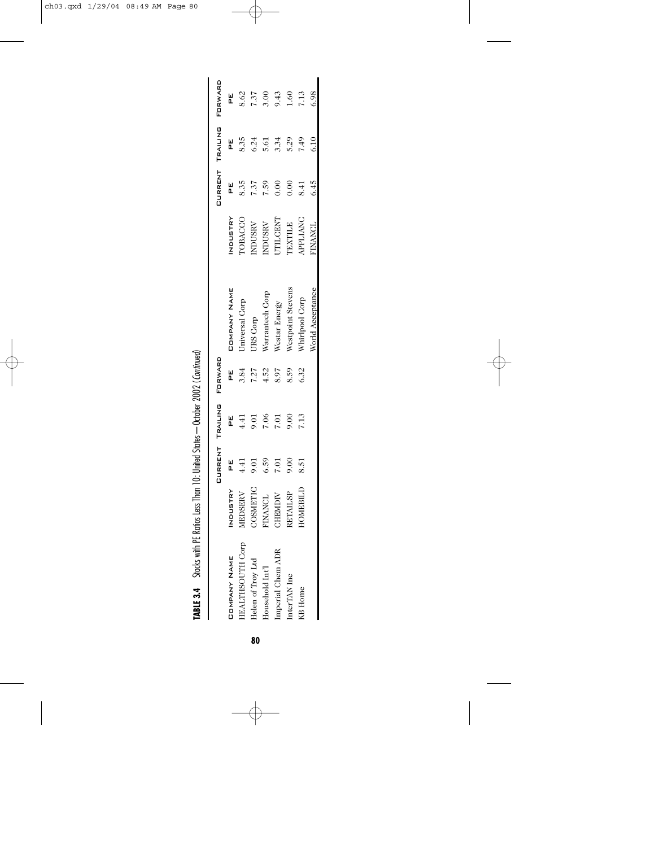| I<br>$\ddot{\phantom{a}}$               |
|-----------------------------------------|
|                                         |
| 1<br>Ī                                  |
| ֦֧֦֧֦֧֦֧֦֧֧֦֧֧֦֧֦֧֧֚֚֚֚֚֚֬֝֝֜֓֜֓֜֓<br>i |
|                                         |
| -<br>-<br>-<br>-                        |

|                          |                | CURRENT     | TRAILING     | FORWARD     |                   |                | CURRENT | TRAILING             | FORWARD        |
|--------------------------|----------------|-------------|--------------|-------------|-------------------|----------------|---------|----------------------|----------------|
| <b>COMPANY NAME</b>      | <b>IDUSTRY</b> | u<br>L      | ۳F<br>F      | 빝           | COMPANY NAME      | NDUSTRY        | 빝       | u<br>0.              | u<br>L         |
| <b>IEALTHSOUTH Corp</b>  | <b>MEDSERV</b> | 4.41        | 4.41         | 3.84        | Universal Corp    | OBACCO         | 8.35    | 8.35                 | 8.62           |
| <b>Jelen</b> of Troy Ltd | COSMETIC       | 9.01        | 9.01         | 7.27        | <b>URS Corp</b>   | <b>VDUSRV</b>  | 7.37    | 6.24                 |                |
| Household Int'l          | <b>FINANCL</b> | 6.59        |              | 4.52        | Narrantech Corp   | NDUSRV         | 7.59    |                      | $7.37$<br>3.00 |
| Imperial Chem ADR        | <b>CHEMDIV</b> | <b>IO.7</b> | 7.01<br>7.01 | <b>16'S</b> | Westar Energy     | TILCENT        | 0.00    | 5.31<br>3.31<br>5.29 |                |
| InterTAN Inc             | RETAILSP       | 6.6         | 0.66         | 8.59        | Westpoint Stevens | <b>FEXTILE</b> | 0.00    |                      | $9.43$<br>1.60 |
| KB Home                  | HOMEBILI       | 8.51        | 7.13         | 6.32        | Whirlpool Corp    | <b>ONVITED</b> | 8.41    | 7.49                 | 7.13           |
|                          |                |             |              |             | World Acceptance  | <b>FINANCL</b> | 6.45    | 6.10                 | 6.98           |

 $\oplus$ 

**80**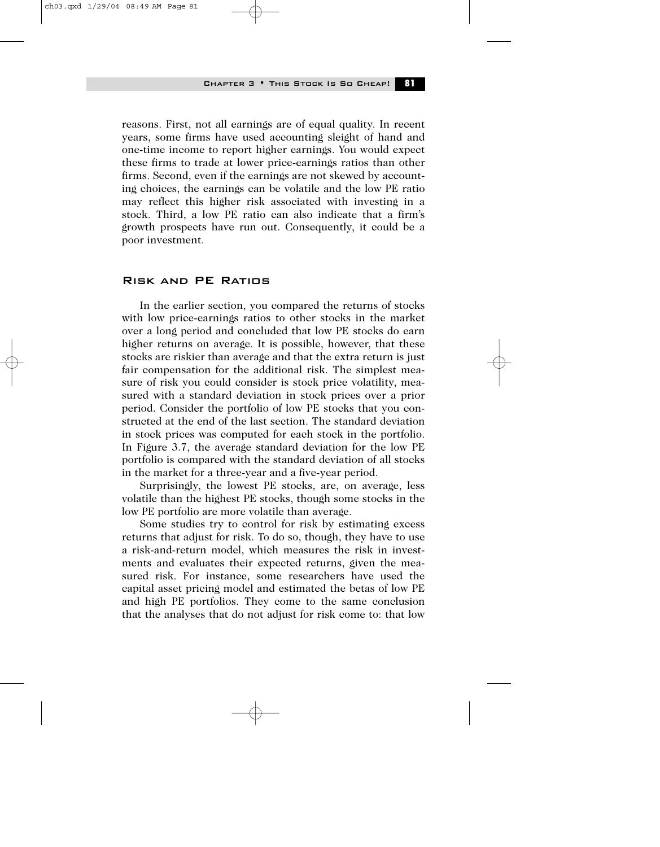reasons. First, not all earnings are of equal quality. In recent years, some firms have used accounting sleight of hand and one-time income to report higher earnings. You would expect these firms to trade at lower price-earnings ratios than other firms. Second, even if the earnings are not skewed by accounting choices, the earnings can be volatile and the low PE ratio may reflect this higher risk associated with investing in a stock. Third, a low PE ratio can also indicate that a firm's growth prospects have run out. Consequently, it could be a poor investment.

### Risk and PE Ratios

In the earlier section, you compared the returns of stocks with low price-earnings ratios to other stocks in the market over a long period and concluded that low PE stocks do earn higher returns on average. It is possible, however, that these stocks are riskier than average and that the extra return is just fair compensation for the additional risk. The simplest measure of risk you could consider is stock price volatility, measured with a standard deviation in stock prices over a prior period. Consider the portfolio of low PE stocks that you constructed at the end of the last section. The standard deviation in stock prices was computed for each stock in the portfolio. In Figure 3.7, the average standard deviation for the low PE portfolio is compared with the standard deviation of all stocks in the market for a three-year and a five-year period.

Surprisingly, the lowest PE stocks, are, on average, less volatile than the highest PE stocks, though some stocks in the low PE portfolio are more volatile than average.

Some studies try to control for risk by estimating excess returns that adjust for risk. To do so, though, they have to use a risk-and-return model, which measures the risk in investments and evaluates their expected returns, given the measured risk. For instance, some researchers have used the capital asset pricing model and estimated the betas of low PE and high PE portfolios. They come to the same conclusion that the analyses that do not adjust for risk come to: that low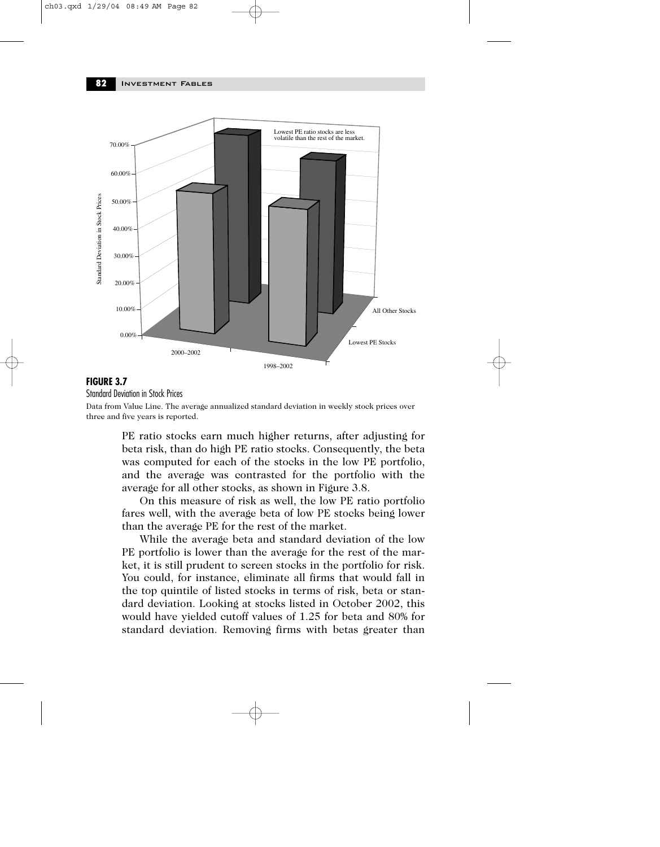

### **FIGURE 3.7**

Standard Deviation in Stock Prices

Data from Value Line. The average annualized standard deviation in weekly stock prices over three and five years is reported.

> PE ratio stocks earn much higher returns, after adjusting for beta risk, than do high PE ratio stocks. Consequently, the beta was computed for each of the stocks in the low PE portfolio, and the average was contrasted for the portfolio with the average for all other stocks, as shown in Figure 3.8.

> On this measure of risk as well, the low PE ratio portfolio fares well, with the average beta of low PE stocks being lower than the average PE for the rest of the market.

> While the average beta and standard deviation of the low PE portfolio is lower than the average for the rest of the market, it is still prudent to screen stocks in the portfolio for risk. You could, for instance, eliminate all firms that would fall in the top quintile of listed stocks in terms of risk, beta or standard deviation. Looking at stocks listed in October 2002, this would have yielded cutoff values of 1.25 for beta and 80% for standard deviation. Removing firms with betas greater than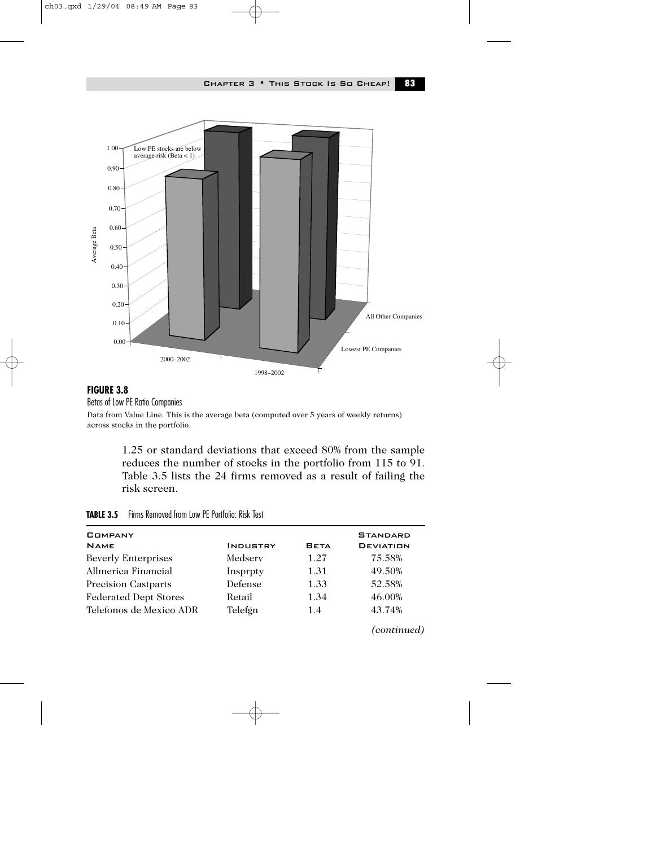



### **FIGURE 3.8**

Betas of Low PE Ratio Companies

Data from Value Line. This is the average beta (computed over 5 years of weekly returns) across stocks in the portfolio.

> 1.25 or standard deviations that exceed 80% from the sample reduces the number of stocks in the portfolio from 115 to 91. Table 3.5 lists the 24 firms removed as a result of failing the risk screen.

| <b>TABLE 3.5</b> | Firms Removed from Low PE Portfolio: Risk Test |  |  |
|------------------|------------------------------------------------|--|--|
|                  |                                                |  |  |

| <b>STANDARD</b>  |
|------------------|
|                  |
| <b>DEVIATION</b> |
| 75.58%           |
| 49.50%           |
| 52.58%           |
| 46.00%           |
| 43.74%           |
|                  |

*(continued)*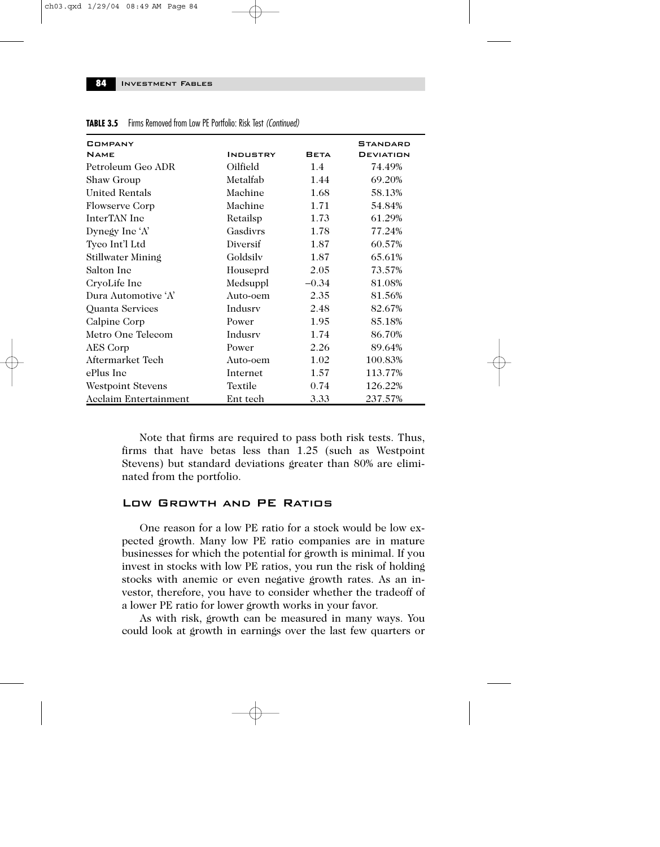| COMPANY                  |                 |             | <b>STANDARD</b>  |
|--------------------------|-----------------|-------------|------------------|
| <b>NAME</b>              | <b>INDUSTRY</b> | <b>BETA</b> | <b>DEVIATION</b> |
| Petroleum Geo ADR        | Oilfield        | 1.4         | 74.49%           |
| Shaw Group               | Metalfab        | 1.44        | 69.20%           |
| <b>United Rentals</b>    | Machine         | 1.68        | 58.13%           |
| Flowserve Corp           | Machine         | 1.71        | 54.84%           |
| InterTAN Inc             | Retailsp        | 1.73        | 61.29%           |
| Dynegy Inc 'A'           | Gasdivrs        | 1.78        | 77.24%           |
| Tyeo Int'l Ltd           | Diversif        | 1.87        | 60.57%           |
| Stillwater Mining        | Goldsilv        | 1.87        | 65.61%           |
| Salton Inc               | Houseprd        | 2.05        | 73.57%           |
| CryoLife Inc             | Medsuppl        | $-0.34$     | 81.08%           |
| Dura Automotive 'A'      | Auto-oem        | 2.35        | 81.56%           |
| Quanta Services          | Indusry         | 2.48        | 82.67%           |
| Calpine Corp             | Power           | 1.95        | 85.18%           |
| Metro One Telecom        | Indusry         | 1.74        | 86.70%           |
| AES Corp                 | Power           | 2.26        | 89.64%           |
| Aftermarket Tech         | Auto-oem        | 1.02        | 100.83%          |
| ePlus Inc                | Internet        | 1.57        | 113.77%          |
| <b>Westpoint Stevens</b> | Textile         | 0.74        | 126.22%          |
| Acclaim Entertainment    | Ent tech        | 3.33        | 237.57%          |

### **TABLE 3.5** Firms Removed from Low PE Portfolio: Risk Test *(Continued)*

Note that firms are required to pass both risk tests. Thus, firms that have betas less than 1.25 (such as Westpoint Stevens) but standard deviations greater than 80% are eliminated from the portfolio.

### Low Growth and PE Ratios

One reason for a low PE ratio for a stock would be low expected growth. Many low PE ratio companies are in mature businesses for which the potential for growth is minimal. If you invest in stocks with low PE ratios, you run the risk of holding stocks with anemic or even negative growth rates. As an investor, therefore, you have to consider whether the tradeoff of a lower PE ratio for lower growth works in your favor.

As with risk, growth can be measured in many ways. You could look at growth in earnings over the last few quarters or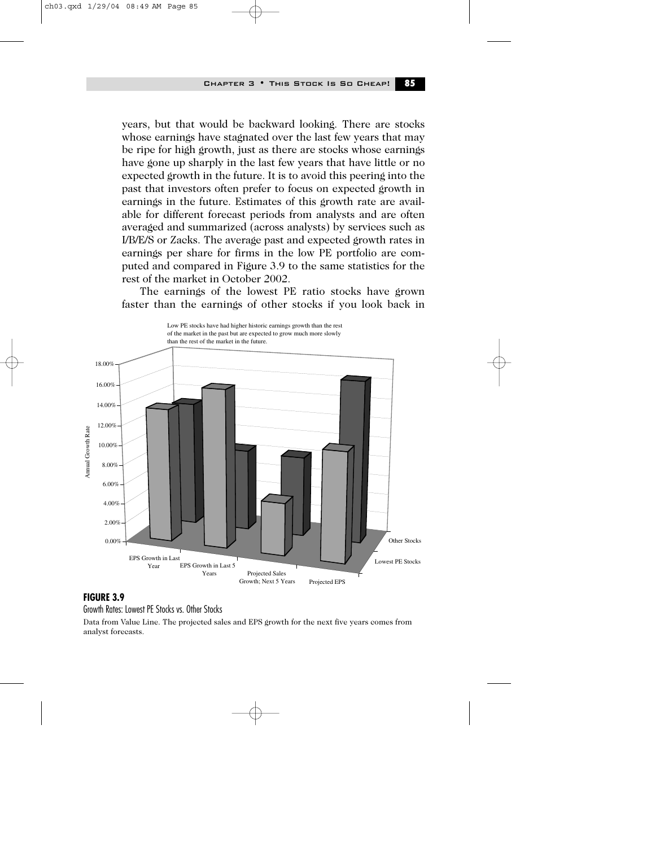years, but that would be backward looking. There are stocks whose earnings have stagnated over the last few years that may be ripe for high growth, just as there are stocks whose earnings have gone up sharply in the last few years that have little or no expected growth in the future. It is to avoid this peering into the past that investors often prefer to focus on expected growth in earnings in the future. Estimates of this growth rate are available for different forecast periods from analysts and are often averaged and summarized (across analysts) by services such as I/B/E/S or Zacks. The average past and expected growth rates in earnings per share for firms in the low PE portfolio are computed and compared in Figure 3.9 to the same statistics for the rest of the market in October 2002.

The earnings of the lowest PE ratio stocks have grown faster than the earnings of other stocks if you look back in



### **FIGURE 3.9**

ch03.qxd 1/29/04 08:49 AM Page 85

Growth Rates: Lowest PE Stocks vs. Other Stocks

Data from Value Line. The projected sales and EPS growth for the next five years comes from analyst forecasts.

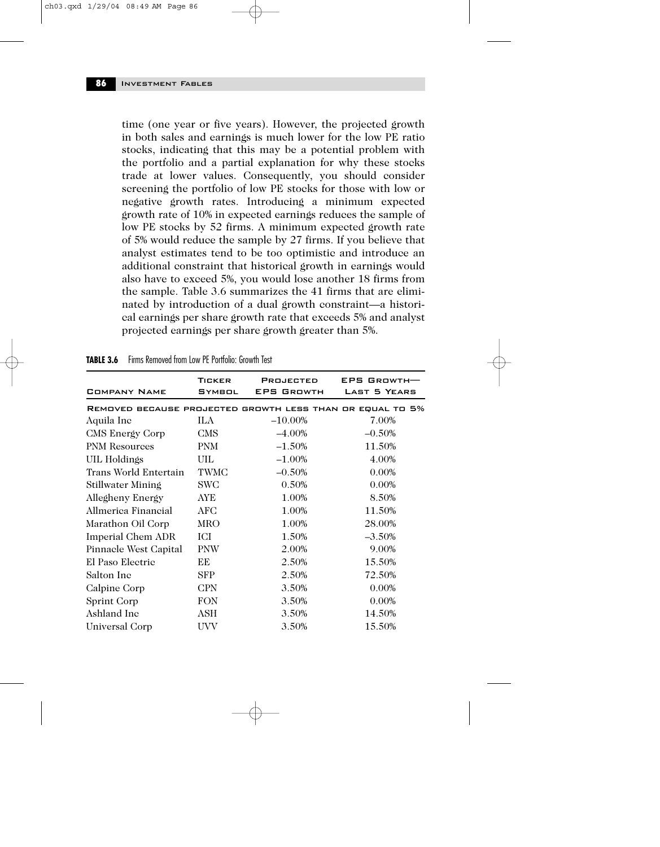time (one year or five years). However, the projected growth in both sales and earnings is much lower for the low PE ratio stocks, indicating that this may be a potential problem with the portfolio and a partial explanation for why these stocks trade at lower values. Consequently, you should consider screening the portfolio of low PE stocks for those with low or negative growth rates. Introducing a minimum expected growth rate of 10% in expected earnings reduces the sample of low PE stocks by 52 firms. A minimum expected growth rate of 5% would reduce the sample by 27 firms. If you believe that analyst estimates tend to be too optimistic and introduce an additional constraint that historical growth in earnings would also have to exceed 5%, you would lose another 18 firms from the sample. Table 3.6 summarizes the 41 firms that are eliminated by introduction of a dual growth constraint—a historical earnings per share growth rate that exceeds 5% and analyst projected earnings per share growth greater than 5%.

**TABLE 3.6** Firms Removed from Low PE Portfolio: Growth Test

| <b>COMPANY NAME</b>                                       | <b>TICKER</b><br><b>SYMBOL</b> | <b>PROJECTED</b><br><b>EPS GROWTH</b> | EPS GROWTH-<br><b>LAST 5 YEARS</b> |
|-----------------------------------------------------------|--------------------------------|---------------------------------------|------------------------------------|
| REMOVED BECAUSE PROJECTED GROWTH LESS THAN OR EQUAL TO 5% |                                |                                       |                                    |
| Aquila Inc                                                | ILA                            | $-10.00\%$                            | 7.00%                              |
| CMS Energy Corp                                           | <b>CMS</b>                     | $-4.00\%$                             | $-0.50%$                           |
| <b>PNM Resources</b>                                      | <b>PNM</b>                     | $-1.50\%$                             | 11.50%                             |
| UIL Holdings                                              | UIL                            | $-1.00\%$                             | 4.00%                              |
| Trans World Entertain                                     | TWMC                           | $-0.50%$                              | $0.00\%$                           |
| Stillwater Mining                                         | SWC                            | 0.50%                                 | $0.00\%$                           |
| Allegheny Energy                                          | AYE                            | 1.00%                                 | 8.50%                              |
| Allmerica Financial                                       | AFC                            | 1.00%                                 | 11.50%                             |
| Marathon Oil Corp                                         | <b>MRO</b>                     | 1.00%                                 | 28.00%                             |
| Imperial Chem ADR                                         | ICI                            | 1.50%                                 | $-3.50\%$                          |
| Pinnacle West Capital                                     | <b>PNW</b>                     | 2.00%                                 | 9.00%                              |
| El Paso Electric                                          | ЕE                             | 2.50%                                 | 15.50%                             |
| Salton Inc                                                | <b>SFP</b>                     | 2.50%                                 | 72.50%                             |
| Calpine Corp                                              | <b>CPN</b>                     | 3.50%                                 | $0.00\%$                           |
| Sprint Corp                                               | <b>FON</b>                     | 3.50%                                 | $0.00\%$                           |
| Ashland Inc                                               | ASH                            | 3.50%                                 | 14.50%                             |
| Universal Corp                                            | <b>UVV</b>                     | 3.50%                                 | 15.50%                             |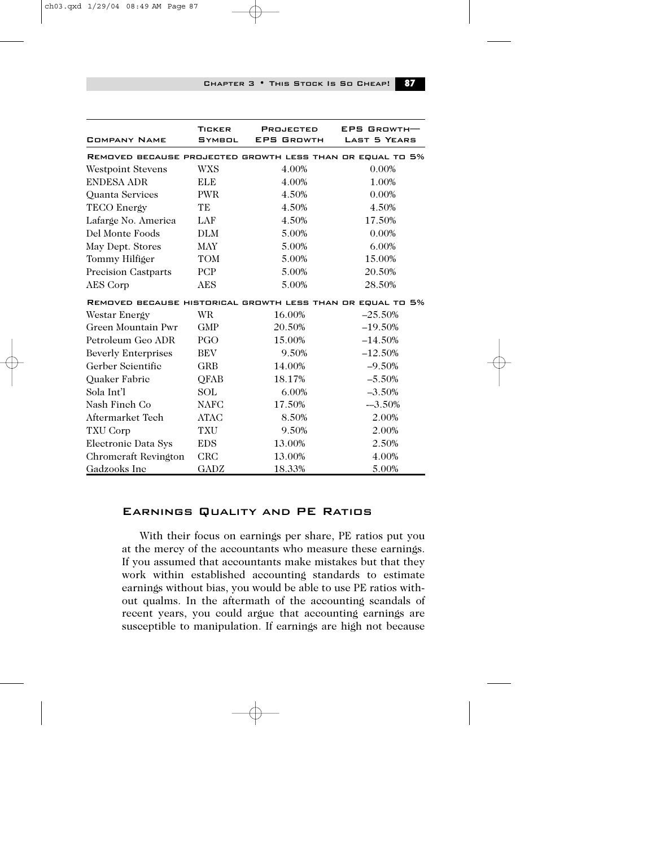Chapter 3 • This Stock Is So Cheap!

**87**

|                                                            | <b>TICKER</b> | <b>PROJECTED</b> | EPS GROWTH-         |
|------------------------------------------------------------|---------------|------------------|---------------------|
| <b>COMPANY NAME</b>                                        | SYMBOL        | EPS GROWTH       | <b>LAST 5 YEARS</b> |
| REMOVED BECAUSE PROJECTED GROWTH LESS THAN OR EQUAL TO 5%  |               |                  |                     |
| Westpoint Stevens                                          | WXS           | 4.00%            | 0.00%               |
| <b>ENDESA ADR</b>                                          | <b>ELE</b>    | 4.00%            | 1.00%               |
| Quanta Services                                            | <b>PWR</b>    | 4.50%            | 0.00%               |
| TECO Energy                                                | TE            | 4.50%            | 4.50%               |
| Lafarge No. America                                        | LAF           | 4.50%            | 17.50%              |
| Del Monte Foods                                            | <b>DLM</b>    | 5.00%            | 0.00%               |
| May Dept. Stores                                           | MAY           | 5.00%            | 6.00%               |
| Tommy Hilfiger                                             | <b>TOM</b>    | 5.00%            | 15.00%              |
| <b>Precision Castparts</b>                                 | PCP           | 5.00%            | 20.50%              |
| AES Corp                                                   | AES           | 5.00%            | 28.50%              |
| REMOVED BECAUSE HISTORICAL GROWTH LESS THAN OR EQUAL TO 5% |               |                  |                     |
| Westar Energy                                              | WR.           | 16.00%           | $-25.50\%$          |
| Green Mountain Pwr                                         | <b>GMP</b>    | 20.50%           | $-19.50\%$          |
| Petroleum Geo ADR                                          | PGO           | 15.00%           | $-14.50%$           |
| <b>Beverly Enterprises</b>                                 | <b>BEV</b>    | 9.50%            | $-12.50%$           |
| Gerber Scientific                                          | <b>GRB</b>    | 14.00%           | $-9.50%$            |
| Quaker Fabric                                              | <b>QFAB</b>   | 18.17%           | $-5.50%$            |
| Sola Int'l                                                 | <b>SOL</b>    | 6.00%            | $-3.50\%$           |
| Nash Finch Co                                              | <b>NAFC</b>   | 17.50%           | $-3.50%$            |
| Aftermarket Tech                                           | <b>ATAC</b>   | 8.50%            | 2.00%               |
| TXU Corp                                                   | <b>TXU</b>    | 9.50%            | 2.00%               |
| Electronic Data Sys                                        | <b>EDS</b>    | 13.00%           | 2.50%               |
| Chromeraft Revington                                       | <b>CRC</b>    | 13.00%           | 4.00%               |
| Gadzooks Inc                                               | GADZ          | 18.33%           | 5.00%               |

### Earnings Quality and PE Ratios

With their focus on earnings per share, PE ratios put you at the mercy of the accountants who measure these earnings. If you assumed that accountants make mistakes but that they work within established accounting standards to estimate earnings without bias, you would be able to use PE ratios without qualms. In the aftermath of the accounting scandals of recent years, you could argue that accounting earnings are susceptible to manipulation. If earnings are high not because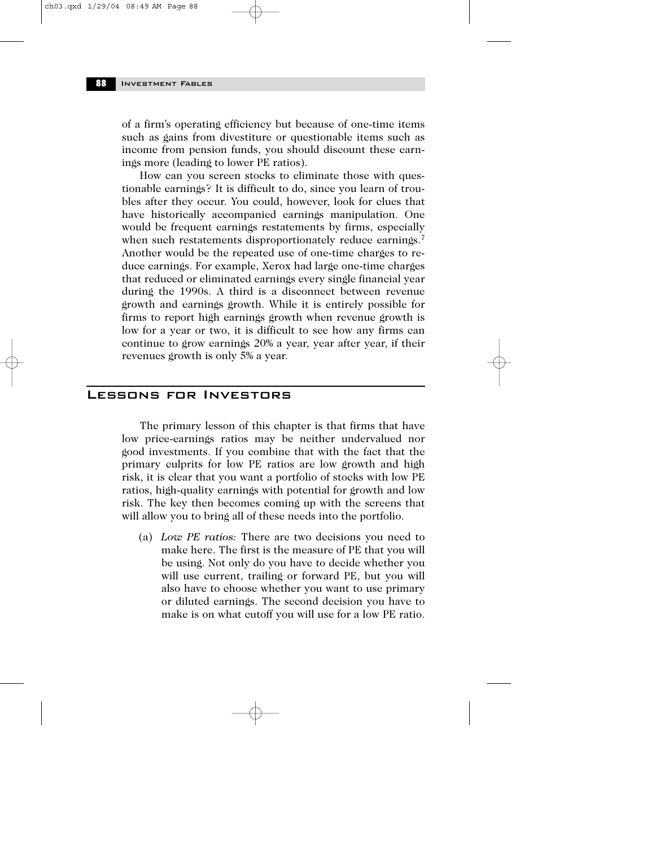of a firm's operating efficiency but because of one-time items such as gains from divestiture or questionable items such as income from pension funds, you should discount these earnings more (leading to lower PE ratios).

How can you screen stocks to eliminate those with questionable earnings? It is difficult to do, since you learn of troubles after they occur. You could, however, look for clues that have historically accompanied earnings manipulation. One would be frequent earnings restatements by firms, especially when such restatements disproportionately reduce earnings.<sup>7</sup> Another would be the repeated use of one-time charges to reduce earnings. For example, Xerox had large one-time charges that reduced or eliminated earnings every single financial year during the 1990s. A third is a disconnect between revenue growth and earnings growth. While it is entirely possible for firms to report high earnings growth when revenue growth is low for a year or two, it is difficult to see how any firms can continue to grow earnings 20% a year, year after year, if their revenues growth is only 5% a year.

# Lessons for Investors

The primary lesson of this chapter is that firms that have low price-earnings ratios may be neither undervalued nor good investments. If you combine that with the fact that the primary culprits for low PE ratios are low growth and high risk, it is clear that you want a portfolio of stocks with low PE ratios, high-quality earnings with potential for growth and low risk. The key then becomes coming up with the screens that will allow you to bring all of these needs into the portfolio.

(a) *Low PE ratios:* There are two decisions you need to make here. The first is the measure of PE that you will be using. Not only do you have to decide whether you will use current, trailing or forward PE, but you will also have to choose whether you want to use primary or diluted earnings. The second decision you have to make is on what cutoff you will use for a low PE ratio.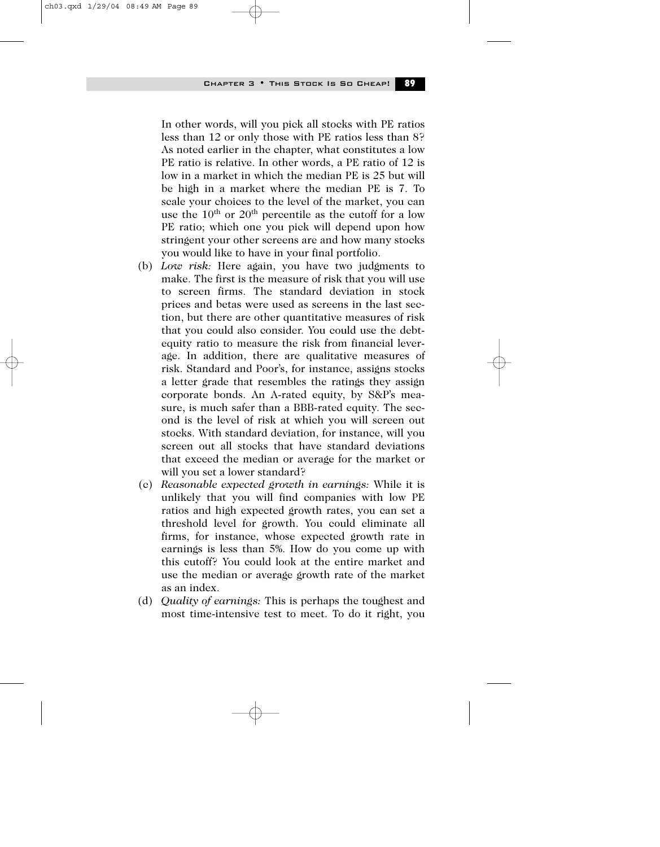ch03.qxd 1/29/04 08:49 AM Page 89

In other words, will you pick all stocks with PE ratios less than 12 or only those with PE ratios less than 8? As noted earlier in the chapter, what constitutes a low PE ratio is relative. In other words, a PE ratio of 12 is low in a market in which the median PE is 25 but will be high in a market where the median PE is 7. To scale your choices to the level of the market, you can use the  $10^{th}$  or  $20^{th}$  percentile as the cutoff for a low PE ratio; which one you pick will depend upon how stringent your other screens are and how many stocks you would like to have in your final portfolio.

- (b) *Low risk:* Here again, you have two judgments to make. The first is the measure of risk that you will use to screen firms. The standard deviation in stock prices and betas were used as screens in the last section, but there are other quantitative measures of risk that you could also consider. You could use the debtequity ratio to measure the risk from financial leverage. In addition, there are qualitative measures of risk. Standard and Poor's, for instance, assigns stocks a letter grade that resembles the ratings they assign corporate bonds. An A-rated equity, by S&P's measure, is much safer than a BBB-rated equity. The second is the level of risk at which you will screen out stocks. With standard deviation, for instance, will you screen out all stocks that have standard deviations that exceed the median or average for the market or will you set a lower standard?
- (c) *Reasonable expected growth in earnings:* While it is unlikely that you will find companies with low PE ratios and high expected growth rates, you can set a threshold level for growth. You could eliminate all firms, for instance, whose expected growth rate in earnings is less than 5%. How do you come up with this cutoff? You could look at the entire market and use the median or average growth rate of the market as an index.
- (d) *Quality of earnings:* This is perhaps the toughest and most time-intensive test to meet. To do it right, you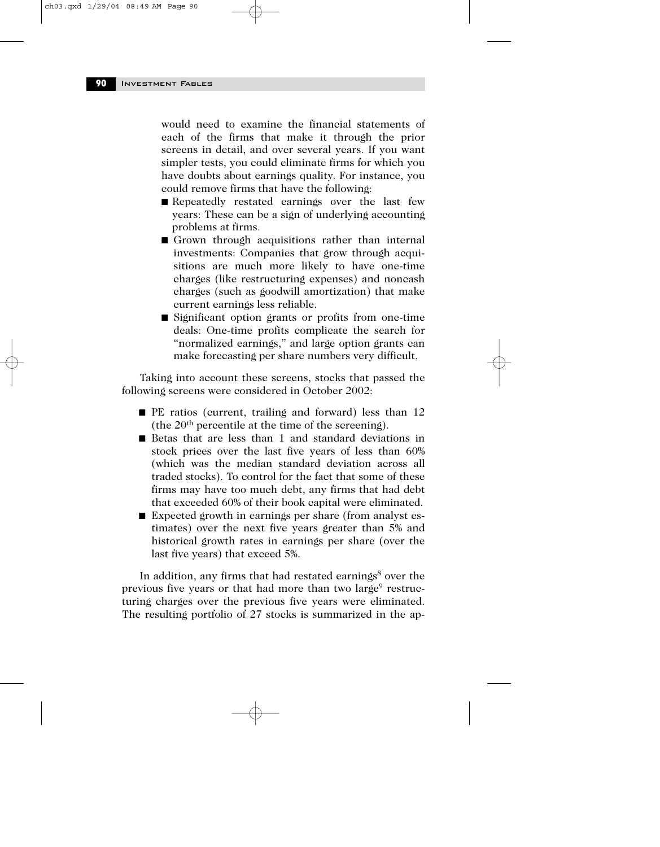ch03.qxd 1/29/04 08:49 AM Page 90

### **90** Investment Fables

would need to examine the financial statements of each of the firms that make it through the prior screens in detail, and over several years. If you want simpler tests, you could eliminate firms for which you have doubts about earnings quality. For instance, you could remove firms that have the following:

- Repeatedly restated earnings over the last few years: These can be a sign of underlying accounting problems at firms.
- Grown through acquisitions rather than internal investments: Companies that grow through acquisitions are much more likely to have one-time charges (like restructuring expenses) and noncash charges (such as goodwill amortization) that make current earnings less reliable.
- Significant option grants or profits from one-time deals: One-time profits complicate the search for "normalized earnings," and large option grants can make forecasting per share numbers very difficult.

Taking into account these screens, stocks that passed the following screens were considered in October 2002:

- PE ratios (current, trailing and forward) less than 12 (the  $20<sup>th</sup>$  percentile at the time of the screening).
- Betas that are less than 1 and standard deviations in stock prices over the last five years of less than 60% (which was the median standard deviation across all traded stocks). To control for the fact that some of these firms may have too much debt, any firms that had debt that exceeded 60% of their book capital were eliminated.
- Expected growth in earnings per share (from analyst estimates) over the next five years greater than 5% and historical growth rates in earnings per share (over the last five years) that exceed 5%.

In addition, any firms that had restated earnings<sup>8</sup> over the previous five years or that had more than two large<sup>9</sup> restructuring charges over the previous five years were eliminated. The resulting portfolio of 27 stocks is summarized in the ap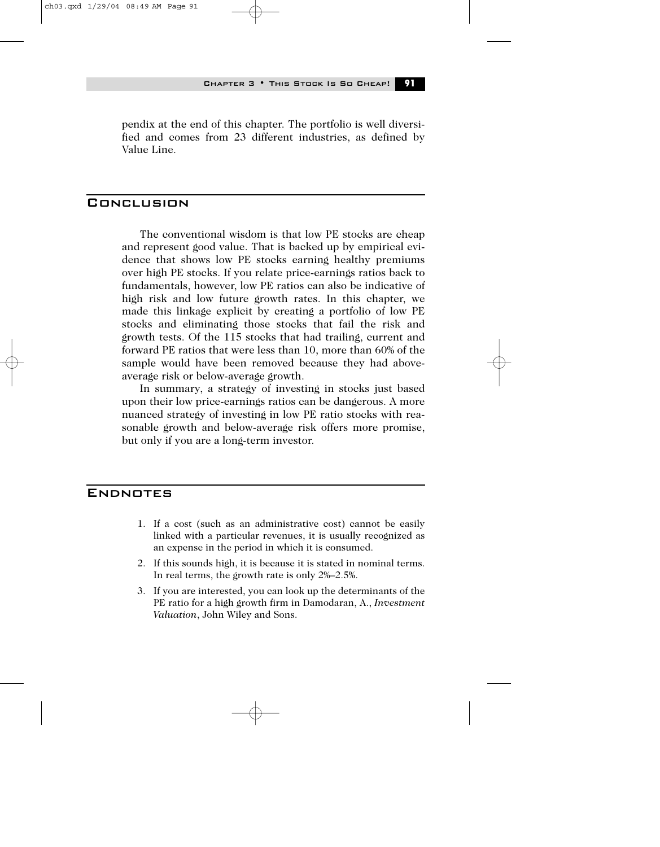Chapter 3 • This Stock Is So Cheap!

**91**

pendix at the end of this chapter. The portfolio is well diversified and comes from 23 different industries, as defined by Value Line.

# Conclusion

The conventional wisdom is that low PE stocks are cheap and represent good value. That is backed up by empirical evidence that shows low PE stocks earning healthy premiums over high PE stocks. If you relate price-earnings ratios back to fundamentals, however, low PE ratios can also be indicative of high risk and low future growth rates. In this chapter, we made this linkage explicit by creating a portfolio of low PE stocks and eliminating those stocks that fail the risk and growth tests. Of the 115 stocks that had trailing, current and forward PE ratios that were less than 10, more than 60% of the sample would have been removed because they had aboveaverage risk or below-average growth.

In summary, a strategy of investing in stocks just based upon their low price-earnings ratios can be dangerous. A more nuanced strategy of investing in low PE ratio stocks with reasonable growth and below-average risk offers more promise, but only if you are a long-term investor.

# **ENDNOTES**

- 1. If a cost (such as an administrative cost) cannot be easily linked with a particular revenues, it is usually recognized as an expense in the period in which it is consumed.
- 2. If this sounds high, it is because it is stated in nominal terms. In real terms, the growth rate is only 2%–2.5%.
- 3. If you are interested, you can look up the determinants of the PE ratio for a high growth firm in Damodaran, A., *Investment Valuation*, John Wiley and Sons.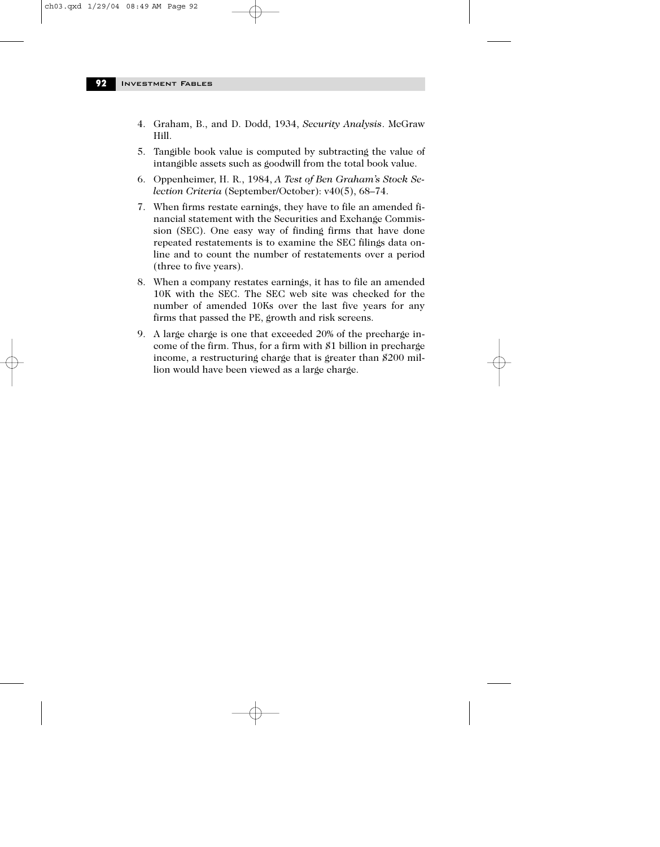#### **92** INVESTMENT FABLES

- 4. Graham, B., and D. Dodd, 1934, *Security Analysis*. McGraw Hill.
- 5. Tangible book value is computed by subtracting the value of intangible assets such as goodwill from the total book value.
- 6. Oppenheimer, H. R., 1984, *A Test of Ben Graham's Stock Selection Criteria* (September/October): v40(5), 68–74.
- 7. When firms restate earnings, they have to file an amended financial statement with the Securities and Exchange Commission (SEC). One easy way of finding firms that have done repeated restatements is to examine the SEC filings data online and to count the number of restatements over a period (three to five years).
- 8. When a company restates earnings, it has to file an amended 10K with the SEC. The SEC web site was checked for the number of amended 10Ks over the last five years for any firms that passed the PE, growth and risk screens.
- 9. A large charge is one that exceeded 20% of the precharge income of the firm. Thus, for a firm with \$1 billion in precharge income, a restructuring charge that is greater than \$200 million would have been viewed as a large charge.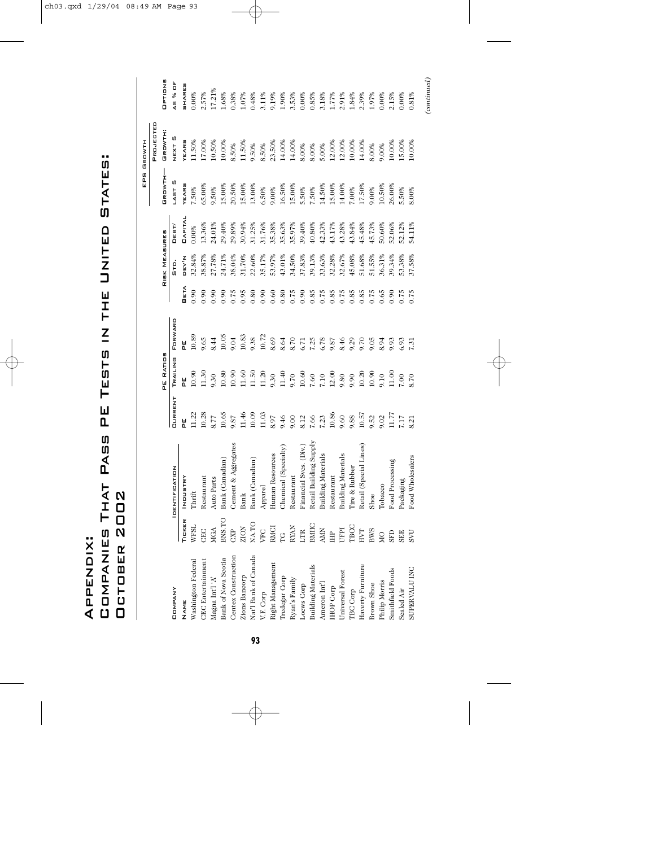| Ú<br>ŭ<br>.<br>J<br><u>և</u><br>ը<br>Ō<br>1<br>Í<br>ć<br>I<br>I | ທ<br>ທ<br>∢<br>Π | Ш<br>$\mathbf{a}$ | ESTS<br>ŀ | 니<br>工<br>ŀ | 굔<br>l | <b>ATES</b><br>.<br>Li<br>$\mathsf{C}$ |
|-----------------------------------------------------------------|------------------|-------------------|-----------|-------------|--------|----------------------------------------|
| C<br>Ľ<br>Ī<br>日日<br>Ō<br>CTO<br>ĺ<br>I                         |                  |                   |           |             |        |                                        |

 $\overline{1}$ 

|                                                                          |        |                           |         |           |             |      |                    |                | EPS GROWTH        |                |                      |
|--------------------------------------------------------------------------|--------|---------------------------|---------|-----------|-------------|------|--------------------|----------------|-------------------|----------------|----------------------|
|                                                                          |        |                           |         |           |             |      |                    |                |                   | PROJECTED      |                      |
|                                                                          |        |                           |         | PE RATIOS |             |      | RISK MEASURES      |                | GROWTH-           | <b>GROWTH:</b> | DPTIONS              |
| COMPANY                                                                  |        | <b>DENTIFICATION</b>      | CURRENT | TRAILING  | FORWARD     |      | STD.               | DEBT)          | ıŊ<br><b>LAST</b> | ıŊ<br>NEXT     | AS % OF              |
| NAME                                                                     | TICKER | NDUSTRY                   | 뉱       | 빝         | 뷭           | BETA | DEV <sup>1</sup> N | <b>CAPITAL</b> | YEARS             | <b>EARS</b>    | <b>SHARES</b>        |
| Washington Federal                                                       |        | Thrift                    | 11.22   | 0.90      | 10.89       | 0.90 | 32.84%             | 0.00%          | 7.50%             | 11.50%         | 0.00%                |
| <b>CEC</b> Entertainment                                                 |        | Restaurant                | 10.28   | 1.30      | 9.65        | 0.90 | 38.87%             | 13.36%         | 65.00%            | 17.00%         | 2.57%                |
| Magna Int'l 'A'<br>Bank of Nova Scotia                                   |        | Auto Parts                | 8.77    | 0.30      | 8.44        | 0.90 | 27.78%             | 24.01%         | 9.50%             | 10.50%         | 17.21%               |
|                                                                          |        | Bank (Canadian)           | 10.65   | 10.80     | 10.05       | 0.90 | 24.71%             | 29.40%         | 15.00%            | 10.00%         | 1.68%                |
| Centex Construction                                                      |        | Cement & Aggregates       | 9.87    | 10.90     | 9.04        | 0.75 | 38.04%             | 29.89%         | 20.50%            | 8.50%          | 0.38%                |
|                                                                          |        | Bank                      | 11.46   | 11,60     | 10.83       | 0.95 | 31.70%             | 30.94%         | 15.00%            | 11.50%         | 1.07%                |
| Zions Bancorp<br>Nat'l Bank of Canada                                    |        | Bank (Canadian)           | 10.09   | 1.50      | 9.38        | 0.80 | 22.60%             | 31.25%         | 13.00%            | 9.50%          | 0.48%                |
|                                                                          |        | Apparel                   | 1.03    | 1.20      | 10.72       | 0.90 | 35.17%             | 31.76%         | 6.50%             | 8.50%          | 3.11%                |
| V.F. Corp<br>Right Management                                            |        | Human Resources           | 8.97    | 9.30      | 8.69        | 0.60 | 53.97%             | 35.38%         | 9.00%             | 23.50%         | 9.19%                |
|                                                                          |        | Chemical (Specialty       | 9.46    | 11.40     | 8.64        | 0.80 | 43.01%             | 35.63%         | 16.50%            | 14.00%         | 1.90%                |
| Tredegar Corp<br>Ryan's Family<br>Loews Corp<br>Building Materials       |        | Restaurant                | 9.00    | 9.70      | 8.70        | 0.75 | 34.50%             | 35.97%         | 15.00%            | 14.00%         | 3.53%                |
|                                                                          |        | Financial Sves. (Div.)    | 8.12    | 10.60     | 6.71        | 0.90 | 37.83%             | 39.40%         | 5.50%             | 8.00%          | 0.00%                |
|                                                                          |        | Retail Building Supply    | 7.66    | 7.60      | 7.25        | 0.85 | 39.13%             | 40.80%         | 7.50%             | 8.00%          | 0.85%                |
| $\begin{array}{ll} \text{American Int}^1 \\ \text{HOP Corp} \end{array}$ |        | <b>Building Materials</b> | 7.23    | 7.10      | 6.78        | 0.75 | 33.63%             | 42.33%         | 14.50%            | 5.00%          | 3.18%                |
|                                                                          |        | Restaurant                | 10.86   | 12.00     | 9.87        | 0.85 | 32.28%             | 43.17%         | 15.00%            | 12.00%         | 1.77%                |
| Universal Forest                                                         |        | <b>Building Materials</b> | 9.60    | 9.80      | 8.46        | 0.75 | 32.67%             | 43.28%         | 14.00%            | 12.00%         | 2.91%                |
| TBC Corp                                                                 |        | Tire & Rubber             | 9.88    | 9.90      | 9.29        | 0.85 | 45.08%             | 43.84%         | 7.00%             | 10.00%         | 1.84%                |
| Haverty Furniture                                                        |        | Retail (Special Lines)    | 10.57   | 10.20     | 9.70        | 0.85 | 51.68%             | 45.48%         | 17.50%            | 14.00%         | 2.39%                |
| Brown Shoe                                                               |        | Shoe                      | 9.52    | 0.90      | 9.05        | 0.75 | 51.55%             | 45.73%         | 9.00%             | 8.00%          | 1.97%                |
| Philip Morris                                                            |        | Tobacco                   | 9.02    | 9.10      | 8.94        | 0.65 | 36.31%             | 50.60%         | 10.50%            | 9.00%          | 0.00%                |
| Smithfield Foods                                                         |        | Food Processing           | 11.77   | 11.00     | 9.93        | 6.0  | 39.34%             | 52.06%         | 26.00%            | 10.00%         | 2.15%                |
| Sealed Air                                                               |        | Packaging                 | 7.17    | 7.00      | 6.93        | 0.75 | 53.38%             | 52.12%         | 5.50%             | 15.00%         | 0.00%                |
| <b>SUPERVALU INC</b>                                                     |        | Food Wholesalers          | 8.21    | 8.70      | <b>T.31</b> | 0.75 | 37.58%             | 54.11%         | 8.00%             | 10.00%         | 0.81%                |
|                                                                          |        |                           |         |           |             |      |                    |                |                   |                | $_{\rm (continued)}$ |

**93**

 $\bigoplus$